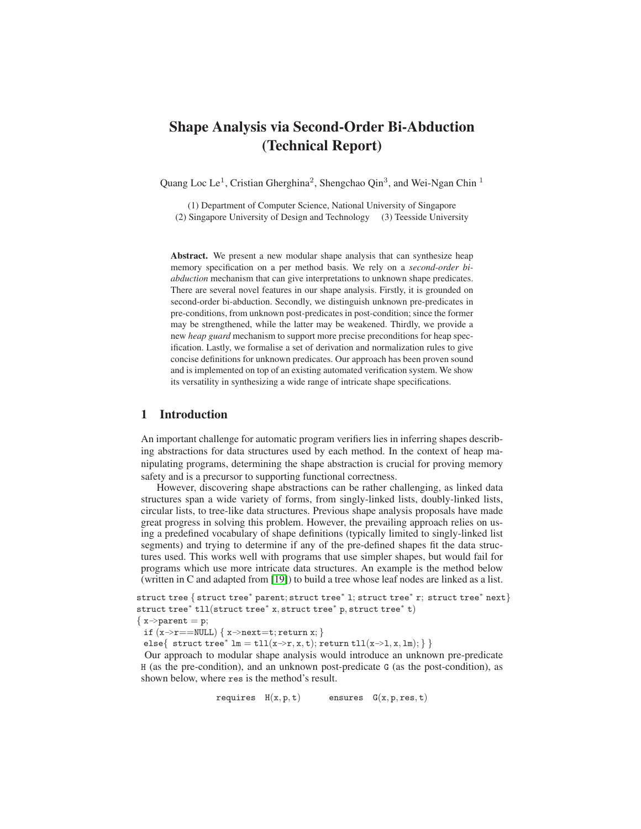# Shape Analysis via Second-Order Bi-Abduction (Technical Report)

Quang Loc Le<sup>1</sup>, Cristian Gherghina<sup>2</sup>, Shengchao Qin<sup>3</sup>, and Wei-Ngan Chin<sup>1</sup>

(1) Department of Computer Science, National University of Singapore (2) Singapore University of Design and Technology (3) Teesside University

Abstract. We present a new modular shape analysis that can synthesize heap memory specification on a per method basis. We rely on a *second-order biabduction* mechanism that can give interpretations to unknown shape predicates. There are several novel features in our shape analysis. Firstly, it is grounded on second-order bi-abduction. Secondly, we distinguish unknown pre-predicates in pre-conditions, from unknown post-predicates in post-condition; since the former may be strengthened, while the latter may be weakened. Thirdly, we provide a new *heap guard* mechanism to support more precise preconditions for heap specification. Lastly, we formalise a set of derivation and normalization rules to give concise definitions for unknown predicates. Our approach has been proven sound and is implemented on top of an existing automated verification system. We show its versatility in synthesizing a wide range of intricate shape specifications.

# <span id="page-0-0"></span>1 Introduction

An important challenge for automatic program verifiers lies in inferring shapes describing abstractions for data structures used by each method. In the context of heap manipulating programs, determining the shape abstraction is crucial for proving memory safety and is a precursor to supporting functional correctness.

However, discovering shape abstractions can be rather challenging, as linked data structures span a wide variety of forms, from singly-linked lists, doubly-linked lists, circular lists, to tree-like data structures. Previous shape analysis proposals have made great progress in solving this problem. However, the prevailing approach relies on using a predefined vocabulary of shape definitions (typically limited to singly-linked list segments) and trying to determine if any of the pre-defined shapes fit the data structures used. This works well with programs that use simpler shapes, but would fail for programs which use more intricate data structures. An example is the method below (written in C and adapted from [\[19\]](#page-18-0)) to build a tree whose leaf nodes are linked as a list.

```
struct tree { struct tree∗
parent; struct tree∗
l; struct tree∗
r; struct tree∗
next}
struct tree∗
tll(struct tree∗
x, struct tree∗
p, struct tree∗
t)
\{x \rightarrow \text{parent} = p;
```
if  $(x \rightarrow r == NULL)$  {  $x \rightarrow next = t$ ; return x; }

 $\texttt{else} \{ \texttt{ struct tree}^* \texttt{lm} = \texttt{tll}(\texttt{x} \rightarrow \texttt{r}, \texttt{x}, \texttt{t}); \texttt{return } \texttt{tll}(\texttt{x} \rightarrow \texttt{l}, \texttt{x}, \texttt{lm}); \} \}$ 

Our approach to modular shape analysis would introduce an unknown pre-predicate H (as the pre-condition), and an unknown post-predicate G (as the post-condition), as shown below, where res is the method's result.

requires  $H(x, p, t)$  ensures  $G(x, p, res, t)$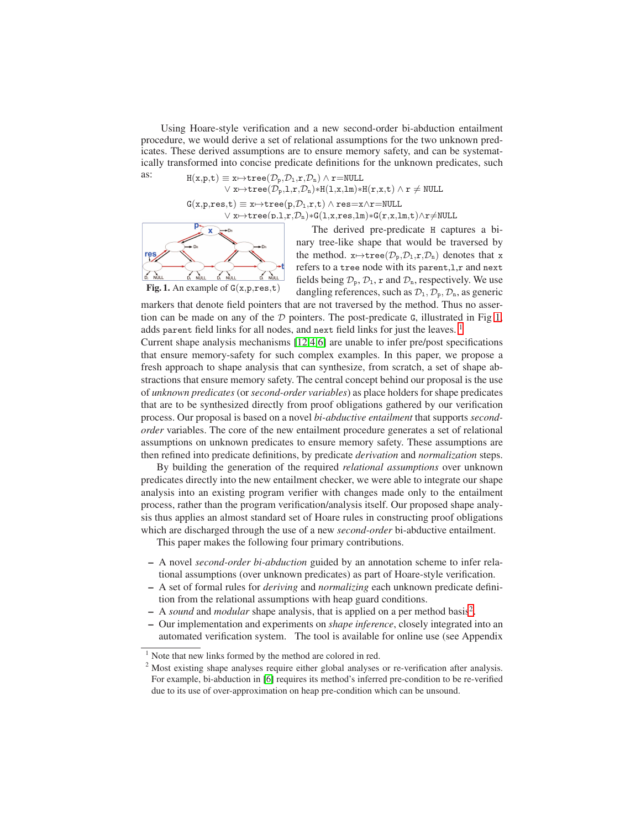Using Hoare-style verification and a new second-order bi-abduction entailment procedure, we would derive a set of relational assumptions for the two unknown predicates. These derived assumptions are to ensure memory safety, and can be systematically transformed into concise predicate definitions for the unknown predicates, such as:  $H(x, p, t) = x_1 \cdot + x_2 \cdot (D, D, r, D) \cdot \hat{r} = N \cdot H \cdot H$ 

$$
R(x,p,t) = x \mapsto \text{tree}(D_p, D_1, r, D_n) \land r = \text{NULL}
$$
  
\n
$$
\lor x \mapsto \text{tree}(D_p, 1, r, D_n) * H(1, x, \text{Im}) * H(r, x, t) \land r \neq \text{NULL}
$$
  
\n
$$
G(x,p,res,t) \equiv x \mapsto \text{tree}(p, D_1, r, t) \land res = x \land r = \text{NULL}
$$
  
\n
$$
\lor x \mapsto \text{tree}(p, 1, r, D_n) * G(1, x, res, \text{Im}) * G(r, x, \text{Im}, t) \land r \neq \text{NULL}
$$



The derived pre-predicate H captures a binary tree-like shape that would be traversed by the method.  $x \mapsto \text{tree}(\mathcal{D}_p, \mathcal{D}_1, r, \mathcal{D}_n)$  denotes that x refers to a tree node with its parent,l,r and next fields being  $\mathcal{D}_{p}$ ,  $\mathcal{D}_{1}$ , r and  $\mathcal{D}_{n}$ , respectively. We use dangling references, such as  $\mathcal{D}_1, \mathcal{D}_p, \mathcal{D}_n$ , as generic

<span id="page-1-0"></span>markers that denote field pointers that are not traversed by the method. Thus no assertion can be made on any of the  $D$  pointers. The post-predicate G, illustrated in Fig [1,](#page-1-0) adds parent field links for all nodes, and next field links for just the leaves.<sup>[1](#page-1-1)</sup>

Current shape analysis mechanisms [\[12](#page-17-0)[,4](#page-17-1)[,6\]](#page-17-2) are unable to infer pre/post specifications that ensure memory-safety for such complex examples. In this paper, we propose a fresh approach to shape analysis that can synthesize, from scratch, a set of shape abstractions that ensure memory safety. The central concept behind our proposal is the use of *unknown predicates* (or *second-order variables*) as place holders for shape predicates that are to be synthesized directly from proof obligations gathered by our verification process. Our proposal is based on a novel *bi-abductive entailment* that supports *secondorder* variables. The core of the new entailment procedure generates a set of relational assumptions on unknown predicates to ensure memory safety. These assumptions are then refined into predicate definitions, by predicate *derivation* and *normalization* steps.

By building the generation of the required *relational assumptions* over unknown predicates directly into the new entailment checker, we were able to integrate our shape analysis into an existing program verifier with changes made only to the entailment process, rather than the program verification/analysis itself. Our proposed shape analysis thus applies an almost standard set of Hoare rules in constructing proof obligations which are discharged through the use of a new *second-order* bi-abductive entailment.

This paper makes the following four primary contributions.

- A novel *second-order bi-abduction* guided by an annotation scheme to infer relational assumptions (over unknown predicates) as part of Hoare-style verification.
- A set of formal rules for *deriving* and *normalizing* each unknown predicate definition from the relational assumptions with heap guard conditions.
- A *sound* and *modular* shape analysis, that is applied on a per method basis<sup>[2](#page-1-2)</sup>.
- Our implementation and experiments on *shape inference*, closely integrated into an automated verification system. The tool is available for online use (see Appendix

<sup>&</sup>lt;sup>1</sup> Note that new links formed by the method are colored in red.

<span id="page-1-2"></span><span id="page-1-1"></span><sup>&</sup>lt;sup>2</sup> Most existing shape analyses require either global analyses or re-verification after analysis. For example, bi-abduction in [\[6\]](#page-17-2) requires its method's inferred pre-condition to be re-verified due to its use of over-approximation on heap pre-condition which can be unsound.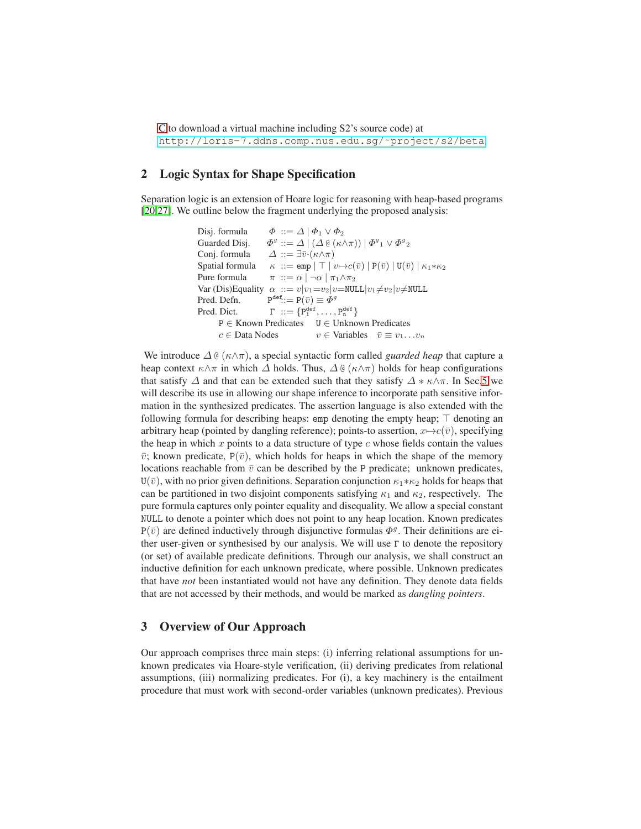[C](#page-23-0) to download a virtual machine including S2's source code) at [http://loris-7.ddns.comp.nus.edu.sg/˜project/s2/beta](http://loris-7.ddns.comp.nus.edu.sg/~project/s2/beta)

# <span id="page-2-1"></span>2 Logic Syntax for Shape Specification

Separation logic is an extension of Hoare logic for reasoning with heap-based programs [\[20,](#page-18-1)[27\]](#page-18-2). We outline below the fragment underlying the proposed analysis:

> Disj. formula  $\Phi ::= \Delta | \Phi_1 \vee \Phi_2$ Guarded Disj.  $g^g ::= \Delta \mid (\Delta \odot (\kappa \wedge \pi)) \mid \Phi^g{}_1 \vee \Phi^g{}_2$ Conj. formula  $\Delta := \exists \overline{v} \cdot (\kappa \wedge \pi)$ Spatial formula  $\kappa ::= \text{emp} | \top | v \mapsto c(\bar{v}) | P(\bar{v}) | U(\bar{v}) | \kappa_1 * \kappa_2$ Pure formula  $\pi ::= \alpha \mid \neg \alpha \mid \pi_1 \wedge \pi_2$ Var (Dis)Equality  $\alpha := v|v_1=v_2|v=\text{NULL}|v_1\neq v_2|v\neq \text{NULL}$ Pred. Defn.  $^{\tt def}:=\mathtt{P}(\bar{v})\equiv \varPhi^g$ Pred. Dict.  $\{ \begin{array}{c} \mathsf{def} \ 1, \ldots, \mathsf{P}^{\mathsf{def}}_\mathsf{n} \end{array} \}$ P ∈ Known Predicates U ∈ Unknown Predicates  $c \in$  Data Nodes  $v \in$  Variables  $\bar{v} \equiv v_1 \dots v_n$

We introduce  $\Delta \theta (\kappa \wedge \pi)$ , a special syntactic form called *guarded heap* that capture a heap context  $\kappa \wedge \pi$  in which  $\Delta$  holds. Thus,  $\Delta \otimes (\kappa \wedge \pi)$  holds for heap configurations that satisfy  $\Delta$  and that can be extended such that they satisfy  $\Delta * \kappa \wedge \pi$ . In Sec[.5](#page-10-0) we will describe its use in allowing our shape inference to incorporate path sensitive information in the synthesized predicates. The assertion language is also extended with the following formula for describing heaps: emp denoting the empty heap;  $\top$  denoting an arbitrary heap (pointed by dangling reference); points-to assertion,  $x \mapsto c(\bar{v})$ , specifying the heap in which  $x$  points to a data structure of type  $c$  whose fields contain the values  $\bar{v}$ ; known predicate, P( $\bar{v}$ ), which holds for heaps in which the shape of the memory locations reachable from  $\bar{v}$  can be described by the P predicate; unknown predicates,  $U(\bar{v})$ , with no prior given definitions. Separation conjunction  $\kappa_1 * \kappa_2$  holds for heaps that can be partitioned in two disjoint components satisfying  $\kappa_1$  and  $\kappa_2$ , respectively. The pure formula captures only pointer equality and disequality. We allow a special constant NULL to denote a pointer which does not point to any heap location. Known predicates  $P(\bar{v})$  are defined inductively through disjunctive formulas  $\Phi^g$ . Their definitions are either user-given or synthesised by our analysis. We will use Γ to denote the repository (or set) of available predicate definitions. Through our analysis, we shall construct an inductive definition for each unknown predicate, where possible. Unknown predicates that have *not* been instantiated would not have any definition. They denote data fields that are not accessed by their methods, and would be marked as *dangling pointers*.

### <span id="page-2-0"></span>3 Overview of Our Approach

Our approach comprises three main steps: (i) inferring relational assumptions for unknown predicates via Hoare-style verification, (ii) deriving predicates from relational assumptions, (iii) normalizing predicates. For (i), a key machinery is the entailment procedure that must work with second-order variables (unknown predicates). Previous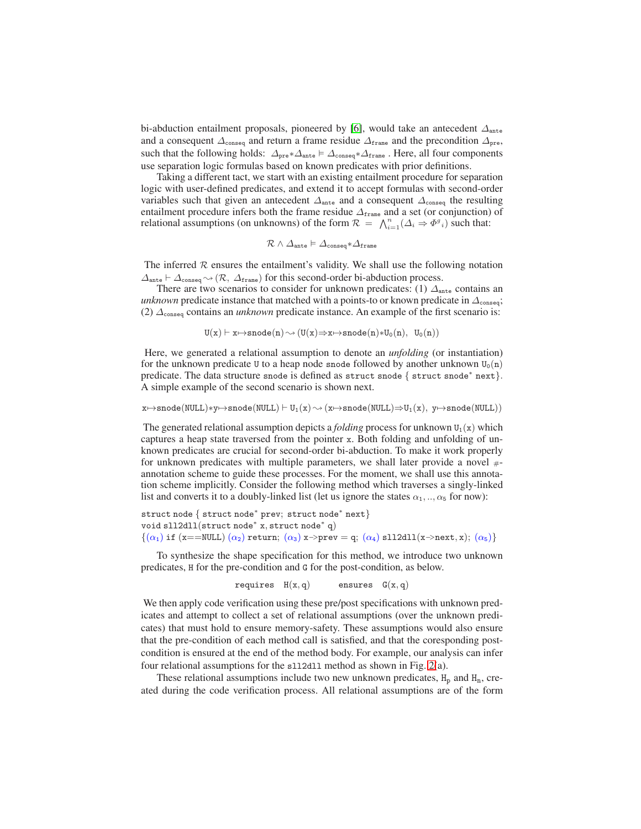bi-abduction entailment proposals, pioneered by [\[6\]](#page-17-2), would take an antecedent  $\Delta_{\text{ante}}$ and a consequent  $\Delta_{\text{conseq}}$  and return a frame residue  $\Delta_{\text{frame}}$  and the precondition  $\Delta_{\text{pre}}$ , such that the following holds:  $\Delta_{pre} * \Delta_{ant} \models \Delta_{conseq} * \Delta_{frame}$ . Here, all four components use separation logic formulas based on known predicates with prior definitions.

Taking a different tact, we start with an existing entailment procedure for separation logic with user-defined predicates, and extend it to accept formulas with second-order variables such that given an antecedent  $\Delta$ <sub>ante</sub> and a consequent  $\Delta$ <sub>conseq</sub> the resulting entailment procedure infers both the frame residue  $\Delta_{\text{frame}}$  and a set (or conjunction) of relational assumptions (on unknowns) of the form  $\mathcal{R} = \bigwedge_{i=1}^{n} (\Delta_i \Rightarrow \Phi^g)_i$  such that:

$$
\mathcal{R} \wedge \mathit{\Delta}_{\mathrm{ante}} \vDash \mathit{\Delta}_{\mathrm{conseq}} * \mathit{\Delta}_{\mathrm{frame}}
$$

The inferred  $R$  ensures the entailment's validity. We shall use the following notation  $\Delta_{\text{ante}}$  ⊢  $\Delta_{\text{conseq}} \sim (\mathcal{R}, \Delta_{\text{frame}})$  for this second-order bi-abduction process.

There are two scenarios to consider for unknown predicates: (1)  $\Delta_{\text{ante}}$  contains an *unknown* predicate instance that matched with a points-to or known predicate in  $\Delta_{\text{conseq}}$ ; (2) ∆conseq contains an *unknown* predicate instance. An example of the first scenario is:

$$
U(x)\vdash x\!\mapsto\!shode(n)\!\rightsquigarrow\!(U(x)\!\Rightarrow\! x\!\mapsto\!shode(n)\!*\!U_0(n),\ U_0(n))
$$

Here, we generated a relational assumption to denote an *unfolding* (or instantiation) for the unknown predicate U to a heap node snode followed by another unknown  $U_0(n)$ predicate. The data structure snode is defined as struct snode { struct snode\* next}. A simple example of the second scenario is shown next.

 $x \mapsto$ snode(NULL)∗y $\mapsto$ snode(NULL)  $\vdash U_1(x) \rightsquigarrow (x \mapsto$ snode(NULL) $\Rightarrow U_1(x)$ , y $\mapsto$ snode(NULL))

The generated relational assumption depicts a *folding* process for unknown  $U_1(x)$  which captures a heap state traversed from the pointer x. Both folding and unfolding of unknown predicates are crucial for second-order bi-abduction. To make it work properly for unknown predicates with multiple parameters, we shall later provide a novel  $#$ annotation scheme to guide these processes. For the moment, we shall use this annotation scheme implicitly. Consider the following method which traverses a singly-linked list and converts it to a doubly-linked list (let us ignore the states  $\alpha_1, \ldots, \alpha_5$  for now):

```
struct node { struct node∗
prev; struct node∗
next}
void sll2dll(struct node∗
x, struct node∗
q)
\{(\alpha_1) if (x==NULL) (\alpha_2) return; (\alpha_3) x->prev = q; (\alpha_4) sll2dll(x->next, x); (\alpha_5)}
```
To synthesize the shape specification for this method, we introduce two unknown predicates, H for the pre-condition and G for the post-condition, as below.

requires  $H(x, q)$  ensures  $G(x, q)$ 

We then apply code verification using these pre/post specifications with unknown predicates and attempt to collect a set of relational assumptions (over the unknown predicates) that must hold to ensure memory-safety. These assumptions would also ensure that the pre-condition of each method call is satisfied, and that the coresponding postcondition is ensured at the end of the method body. For example, our analysis can infer four relational assumptions for the sll2dll method as shown in Fig. [2\(](#page-4-0)a).

These relational assumptions include two new unknown predicates,  $H_p$  and  $H_n$ , created during the code verification process. All relational assumptions are of the form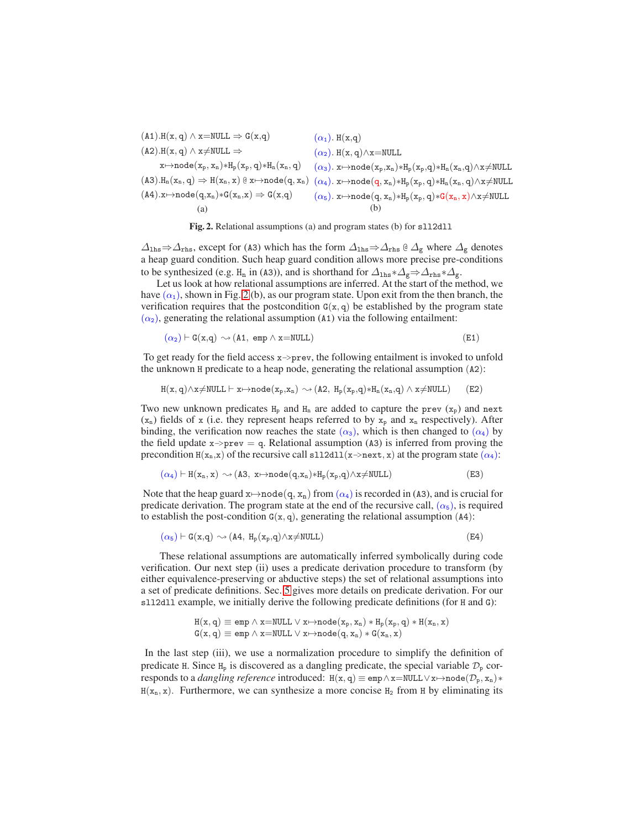$$
\begin{array}{ll} \text{(A1).}\text{H}(x,q)\wedge x=\text{NULL}\Rightarrow \text{G}(x,q) & (\alpha_1).\text{H}(x,q) \\[2mm] \text{(A2).}\text{H}(x,q)\wedge x\neq \text{NULL}\Rightarrow & (\alpha_2).\text{H}(x,q)\wedge x=\text{NULL} \\[2mm] x\mapsto \text{node}(x_p,x_n)*H_p(x_p,q)*H_n(x_n,q) & (\alpha_3).\text{ } x\mapsto \text{node}(x_p,x_n)*H_p(x_p,q)*H_n(x_n,q)\wedge x\neq \text{NULL} \\[2mm] \text{(A3).}\text{H}_n(x_n,q)\Rightarrow \text{H}(x_n,x)\in x\mapsto \text{node}(q,x_n) & (\alpha_4).\text{ } x\mapsto \text{node}(q,x_n)*H_p(x_p,q)*H_n(x_n,q)\wedge x\neq \text{NULL} \\[2mm] \text{(A4).}\text{x}\mapsto \text{node}(q,x_n)*G(x_n,x)\Rightarrow \text{G}(x,q) & (\alpha_5).\text{ } x\mapsto \text{node}(q,x_n)*H_p(x_p,q)*G(x_n,x)\wedge x\neq \text{NULL} \\[2mm] \text{(a)} & \text{(b)} \end{array}
$$

<span id="page-4-0"></span>Fig. 2. Relational assumptions (a) and program states (b) for sll2dll

 $\Delta_{\text{1hs}} \Rightarrow \Delta_{\text{rhs}}$ , except for (A3) which has the form  $\Delta_{\text{1hs}} \Rightarrow \Delta_{\text{rhs}} \& \Delta_g$  where  $\Delta_g$  denotes a heap guard condition. Such heap guard condition allows more precise pre-conditions to be synthesized (e.g. H<sub>n</sub> in (A3)), and is shorthand for  $\Delta_{\text{lns}} * \Delta_g \Rightarrow \Delta_{\text{rhs}} * \Delta_g$ .

Let us look at how relational assumptions are inferred. At the start of the method, we have  $(\alpha_1)$ , shown in Fig. [2](#page-4-0) (b), as our program state. Upon exit from the then branch, the verification requires that the postcondition  $G(x, q)$  be established by the program state  $(\alpha_2)$ , generating the relational assumption (A1) via the following entailment:

$$
(\alpha_2) \vdash G(x,q) \rightsquigarrow (A1, \text{ emp} \land x = NULL)
$$
\n(E1)

To get ready for the field access  $x \rightarrow prev$ , the following entailment is invoked to unfold the unknown H predicate to a heap node, generating the relational assumption (A2):

$$
H(x,q) \wedge x \neq \text{NULL} \vdash x \mapsto \text{node}(x_p,x_n) \rightsquigarrow (A2, H_p(x_p,q) * H_n(x_n,q) \wedge x \neq \text{NULL})
$$
 (E2)

Two new unknown predicates  $H_p$  and  $H_n$  are added to capture the prev  $(x_p)$  and next  $(x_n)$  fields of x (i.e. they represent heaps referred to by  $x_p$  and  $x_n$  respectively). After binding, the verification now reaches the state  $(\alpha_3)$ , which is then changed to  $(\alpha_4)$  by the field update  $x \rightarrow prev = q$ . Relational assumption (A3) is inferred from proving the precondition  $H(x_n, x)$  of the recursive call  $s112d11(x \rightarrow next, x)$  at the program state  $(\alpha_4)$ :

$$
(\alpha_4) \vdash H(x_n, x) \rightsquigarrow (A3, x \mapsto node(q, x_n) * H_p(x_p, q) \land x \neq NULL)
$$
 (E3)

Note that the heap guard  $x \mapsto n$ ode $(q, x_n)$  from  $(\alpha_4)$  is recorded in (A3), and is crucial for predicate derivation. The program state at the end of the recursive call,  $(\alpha_5)$ , is required to establish the post-condition  $G(x, q)$ , generating the relational assumption (A4):

$$
(\alpha_5) \vdash G(x,q) \rightsquigarrow (A4, H_p(x_p,q) \land x \neq NULL)
$$
 (E4)

These relational assumptions are automatically inferred symbolically during code verification. Our next step (ii) uses a predicate derivation procedure to transform (by either equivalence-preserving or abductive steps) the set of relational assumptions into a set of predicate definitions. Sec. [5](#page-10-0) gives more details on predicate derivation. For our sll2dll example, we initially derive the following predicate definitions (for H and G):

$$
H(x, q) \equiv \text{emp} \land x = \text{NULL} \lor x \mapsto \text{node}(x_p, x_n) * H_p(x_p, q) * H(x_n, x)
$$
  

$$
G(x, q) \equiv \text{emp} \land x = \text{NULL} \lor x \mapsto \text{node}(q, x_n) * G(x_n, x)
$$

In the last step (iii), we use a normalization procedure to simplify the definition of predicate H. Since H<sub>p</sub> is discovered as a dangling predicate, the special variable  $\mathcal{D}_p$  corresponds to a *dangling reference* introduced:  $H(x, q) \equiv \text{emp} \land x = \text{NULL} \lor x \mapsto \text{node}(\mathcal{D}_p, x_n) *$  $H(x_n, x)$ . Furthermore, we can synthesize a more concise  $H_2$  from H by eliminating its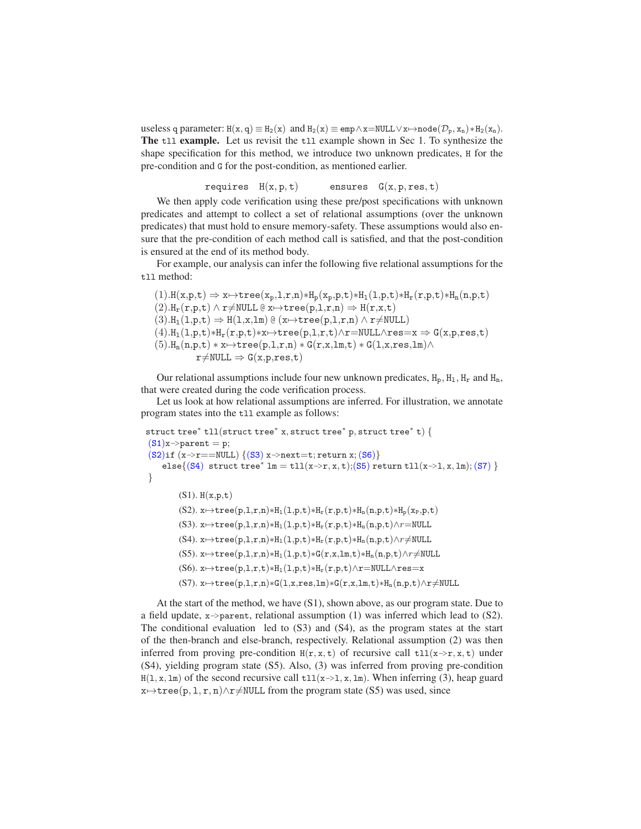useless q parameter:  $H(x, q) \equiv H_2(x)$  and  $H_2(x) \equiv \exp \wedge x = NULL \vee x \mapsto node(\mathcal{D}_p, x_n) * H_2(x_n)$ . The tll example. Let us revisit the tll example shown in Sec 1. To synthesize the shape specification for this method, we introduce two unknown predicates, H for the pre-condition and G for the post-condition, as mentioned earlier.

requires  $H(x, p, t)$  ensures  $G(x, p, res, t)$ 

We then apply code verification using these pre/post specifications with unknown predicates and attempt to collect a set of relational assumptions (over the unknown predicates) that must hold to ensure memory-safety. These assumptions would also ensure that the pre-condition of each method call is satisfied, and that the post-condition is ensured at the end of its method body.

For example, our analysis can infer the following five relational assumptions for the tll method:

 $(1).H(x,p,t) \Rightarrow x \mapsto \text{tree}(x_p,1,r,n) * H_p(x_p,p,t) * H_1(1,p,t) * H_r(r,p,t) * H_n(n,p,t)$  $(2).H_r(r,p,t) \wedge r \neq \text{NULL}$  @ x $\mapsto$ tree $(p,1,r,n) \Rightarrow$  H(r,x,t)  $(3).H_1(1,p,t) \Rightarrow H(1,x,lm) \& (x \mapsto tree(p,1,r,n) \land r \neq NULL)$  $(4).H_1(1,p,t)*H_r(r,p,t)*x\mapsto \text{tree}(p,l,r,t)\wedge r=\text{NULL}\wedge \text{res}=x \Rightarrow G(x,p,res,t)$  $(5).H_n(n,p,t) * x \mapsto \text{tree}(p,1,r,n) * G(r,x,lm,t) * G(1,x,res,lm) \wedge$  $r\neq$ NULL  $\Rightarrow$  G(x,p,res,t)

Our relational assumptions include four new unknown predicates,  $H_p$ ,  $H_1$ ,  $H_r$  and  $H_n$ , that were created during the code verification process.

Let us look at how relational assumptions are inferred. For illustration, we annotate program states into the tll example as follows:

```
struct tree∗
tll(struct tree∗
x, struct tree∗
p, struct tree∗
t) {
(S1)x \rightarrowparent = p;
(S2)if (x\rightarrow r == NULL) \{(S3) x \rightarrow next = t; return x; (S6)}
      \texttt{else}\{(\texttt{S4}) \text{ struct tree}^* \texttt{lm} = \texttt{tll}(\texttt{x} \rightarrow \texttt{r}, \texttt{x}, \texttt{t});(\texttt{S5}) \text{ return } \texttt{tll}(\texttt{x} \rightarrow \texttt{l}, \texttt{x}, \texttt{lm});(\texttt{S7})\}}
            (S1). H(x,p,t)(S2). x\mapstotree(p,l,r,n)*H<sub>1</sub>(l,p,t)*H<sub>r</sub>(r,p,t)*H<sub>n</sub>(n,p,t)*H<sub>p</sub>(x<sub>P</sub>,p,t)
            (S3). x\rightarrowtree(p,l,r,n)*H<sub>1</sub>(l,p,t)*H<sub>r</sub>(r,p,t)*H<sub>n</sub>(n,p,t)∧r=NULL
            (S4). x \mapstotree(p,l,r,n)∗H<sub>1</sub>(l,p,t)*H<sub>r</sub>(r,p,t)*H<sub>n</sub>(n,p,t)∧r≠NULL
            (S5). x\mapstotree(p,l,r,n)∗H<sub>1</sub>(l,p,t)*G(r,x,lm,t)∗H<sub>n</sub>(n,p,t)∧r≠NULL
            (S6). x\mapstotree(p,l,r,t)*H<sub>1</sub>(l,p,t)*H<sub>r</sub>(r,p,t)∧r=NULL∧res=x
            (S7). x\rightarrowtree(p,l,r,n)∗G(l,x,res,lm)∗G(r,x,lm,t)∗H<sub>n</sub>(n,p,t)∧r≠NULL
```
At the start of the method, we have (S1), shown above, as our program state. Due to a field update,  $x \rightarrow$  parent, relational assumption (1) was inferred which lead to (S2). The conditional evaluation led to (S3) and (S4), as the program states at the start of the then-branch and else-branch, respectively. Relational assumption (2) was then inferred from proving pre-condition  $H(r, x, t)$  of recursive call  $t11(x \rightarrow r, x, t)$  under (S4), yielding program state (S5). Also, (3) was inferred from proving pre-condition  $H(1, x, \text{lm})$  of the second recursive call  $\text{tl}(x\rightarrow 1, x, \text{lm})$ . When inferring (3), heap guard  $x \mapsto$ tree(p, 1, r, n)∧r≠NULL from the program state (S5) was used, since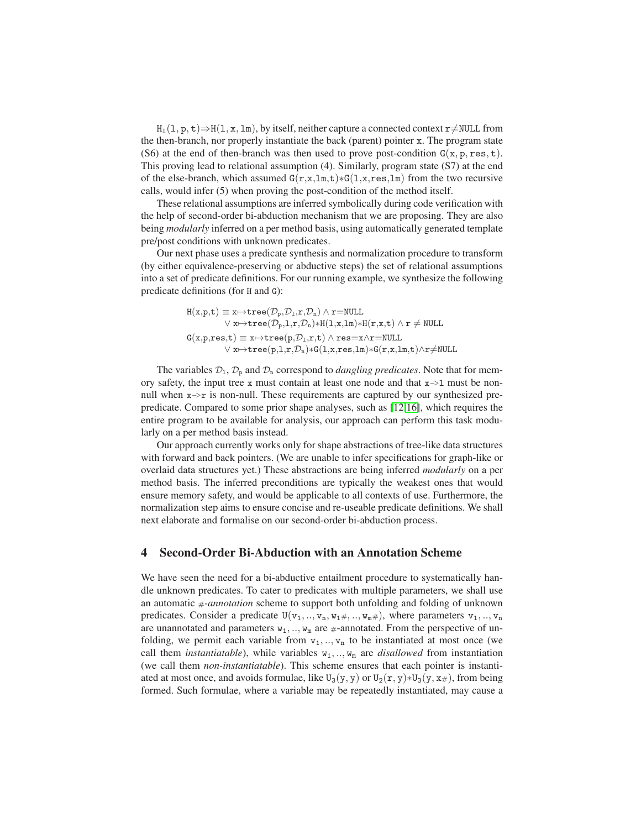$H_1(1, p, t) \Rightarrow H(1, x, \text{lm})$ , by itself, neither capture a connected context r $\neq$ NULL from the then-branch, nor properly instantiate the back (parent) pointer x. The program state (S6) at the end of then-branch was then used to prove post-condition  $G(x, p, res, t)$ . This proving lead to relational assumption (4). Similarly, program state (S7) at the end of the else-branch, which assumed  $G(r,x,lm,t) * G(1,x,res,lm)$  from the two recursive calls, would infer (5) when proving the post-condition of the method itself.

These relational assumptions are inferred symbolically during code verification with the help of second-order bi-abduction mechanism that we are proposing. They are also being *modularly* inferred on a per method basis, using automatically generated template pre/post conditions with unknown predicates.

Our next phase uses a predicate synthesis and normalization procedure to transform (by either equivalence-preserving or abductive steps) the set of relational assumptions into a set of predicate definitions. For our running example, we synthesize the following predicate definitions (for H and G):

$$
\begin{aligned} \mathtt{H}(x,p,t) &\equiv x &\mapsto \mathtt{tree}(\mathcal{D}_p,\mathcal{D}_1,r,\mathcal{D}_n) \wedge \mathtt{r} = \mathtt{NULL} \\ &\qquad \qquad \vee x \mapsto \mathtt{tree}(\mathcal{D}_p,1,r,\mathcal{D}_n) \ast \mathtt{H}(1,x,\mathtt{lm}) \ast \mathtt{H}(\mathtt{r},x,t) \wedge \mathtt{r} \neq \mathtt{NULL} \\ \mathtt{G}(x,p, \mathtt{res},t) &\equiv x \mapsto \mathtt{tree}(p,\mathcal{D}_1,r,t) \wedge \mathtt{res} = \mathtt{x} \wedge \mathtt{r} = \mathtt{NULL} \\ &\qquad \qquad \vee \mathtt{x} \mapsto \mathtt{tree}(p,1,r,\mathcal{D}_n) \ast \mathtt{G}(1,x,\mathtt{res},\mathtt{lm}) \ast \mathtt{G}(\mathtt{r},x,\mathtt{lm},t) \wedge \mathtt{r} \neq \mathtt{NULL} \end{aligned}
$$

The variables  $\mathcal{D}_1$ ,  $\mathcal{D}_p$  and  $\mathcal{D}_p$  correspond to *dangling predicates*. Note that for memory safety, the input tree x must contain at least one node and that  $x \rightarrow 1$  must be nonnull when  $x \rightarrow r$  is non-null. These requirements are captured by our synthesized prepredicate. Compared to some prior shape analyses, such as [\[12](#page-17-0)[,16\]](#page-18-3), which requires the entire program to be available for analysis, our approach can perform this task modularly on a per method basis instead.

Our approach currently works only for shape abstractions of tree-like data structures with forward and back pointers. (We are unable to infer specifications for graph-like or overlaid data structures yet.) These abstractions are being inferred *modularly* on a per method basis. The inferred preconditions are typically the weakest ones that would ensure memory safety, and would be applicable to all contexts of use. Furthermore, the normalization step aims to ensure concise and re-useable predicate definitions. We shall next elaborate and formalise on our second-order bi-abduction process.

### <span id="page-6-0"></span>4 Second-Order Bi-Abduction with an Annotation Scheme

We have seen the need for a bi-abductive entailment procedure to systematically handle unknown predicates. To cater to predicates with multiple parameters, we shall use an automatic #*-annotation* scheme to support both unfolding and folding of unknown predicates. Consider a predicate  $U(v_1, ..., v_n, w_{1}, ..., w_{m}, w)$ , where parameters  $v_1, ..., v_n$ are unannotated and parameters  $w_1, \ldots, w_m$  are #-annotated. From the perspective of unfolding, we permit each variable from  $v_1, \ldots, v_n$  to be instantiated at most once (we call them *instantiatable*), while variables  $w_1, \ldots, w_m$  are *disallowed* from instantiation (we call them *non-instantiatable*). This scheme ensures that each pointer is instantiated at most once, and avoids formulae, like  $U_3(y, y)$  or  $U_2(\mathbf{r}, y) * U_3(y, x_*)$ , from being formed. Such formulae, where a variable may be repeatedly instantiated, may cause a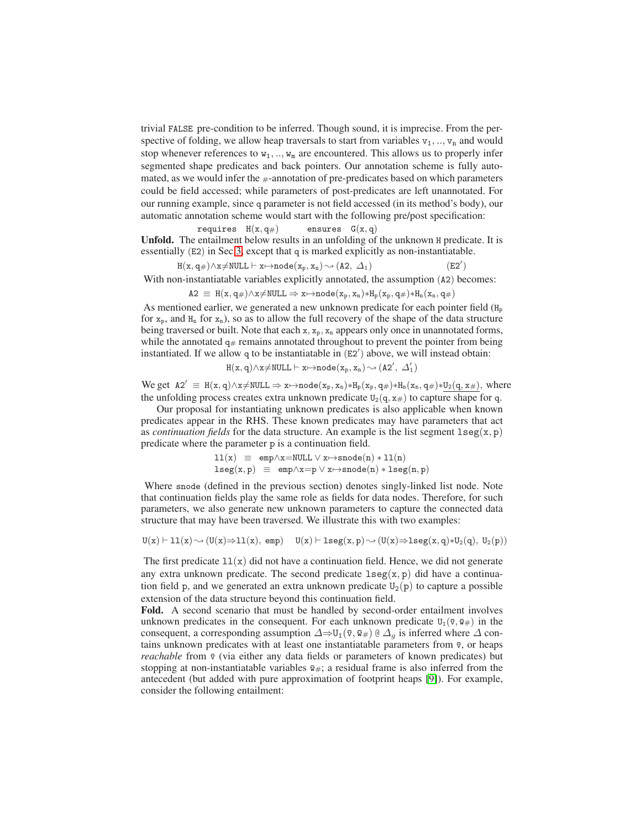trivial FALSE pre-condition to be inferred. Though sound, it is imprecise. From the perspective of folding, we allow heap traversals to start from variables  $v_1, ..., v_n$  and would stop whenever references to  $w_1, \ldots, w_m$  are encountered. This allows us to properly infer segmented shape predicates and back pointers. Our annotation scheme is fully automated, as we would infer the  $#$ -annotation of pre-predicates based on which parameters could be field accessed; while parameters of post-predicates are left unannotated. For our running example, since q parameter is not field accessed (in its method's body), our automatic annotation scheme would start with the following pre/post specification:

requires  $H(x, q#)$  ensures  $G(x, q)$ Unfold. The entailment below results in an unfolding of the unknown  $H$  predicate. It is essentially (E2) in Sec [3,](#page-2-0) except that q is marked explicitly as non-instantiatable.

$$
H(x,q\#)\wedge x\neq NULL\vdash x\mapsto node(x_p,x_n)\mathop{\leadsto} (A2,\ \varDelta_1)\qquad \qquad (E2')
$$

With non-instantiatable variables explicitly annotated, the assumption (A2) becomes:

 $\mathtt{A2} \ \equiv \ \mathtt{H}(\mathtt{x}, \mathtt{q\#}) \land \mathtt{x\neq{}NULL} \Rightarrow \mathtt{x\mapsto{}node}(\mathtt{x_{p}}, \mathtt{x_{n}}) * \mathtt{H}_{p}(\mathtt{x_{p}}, \mathtt{q\#}) * \mathtt{H}_{n}(\mathtt{x_{n}}, \mathtt{q\#})$ 

As mentioned earlier, we generated a new unknown predicate for each pointer field  $(H_p)$ for  $x_p$ , and  $H_n$  for  $x_n$ ), so as to allow the full recovery of the shape of the data structure being traversed or built. Note that each  $x, x_p, x_n$  appears only once in unannotated forms, while the annotated  $q#$  remains annotated throughout to prevent the pointer from being instantiated. If we allow q to be instantiatable in (E2′ ) above, we will instead obtain:

$$
H(x,q) \wedge x \neq \texttt{NULL} \vdash x \mapsto \texttt{node}(x_p,x_n) \simtail (A2',~\varDelta_1')
$$

We get  $A2' \equiv H(x, q) \wedge x \neq NULL \Rightarrow x \mapsto node(x_p, x_n) * H_p(x_p, q \#) * H_n(x_n, q \#) * U_2(q, x \#)$ , where the unfolding process creates extra unknown predicate  $U_2(q, x)$  to capture shape for q.

Our proposal for instantiating unknown predicates is also applicable when known predicates appear in the RHS. These known predicates may have parameters that act as *continuation fields* for the data structure. An example is the list segment  $l \text{seg}(x, p)$ predicate where the parameter p is a continuation field.

$$
11(x) \equiv \text{emp} \land x = \text{NULL} \lor x \mapsto \text{mode}(n) * 11(n)
$$
  

$$
1 \text{seg}(x, p) \equiv \text{emp} \land x = p \lor x \mapsto \text{mode}(n) * 1 \text{seg}(n, p)
$$

Where snode (defined in the previous section) denotes singly-linked list node. Note that continuation fields play the same role as fields for data nodes. Therefore, for such parameters, we also generate new unknown parameters to capture the connected data structure that may have been traversed. We illustrate this with two examples:

$$
\texttt{U}(x) \vdash \texttt{ll}(x) \mathop{\sim}\limits \cdot (\texttt{U}(x) \mathop{\Rightarrow}\texttt{ll}(x), \texttt{emp}) \quad \texttt{U}(x) \vdash \texttt{lseg}(x,p) \mathop{\sim}\limits \cdot (\texttt{U}(x) \mathop{\Rightarrow}\texttt{lseg}(x,q) * \texttt{U}_2(q), \texttt{U}_2(p))
$$

The first predicate  $\mathfrak{11}(x)$  did not have a continuation field. Hence, we did not generate any extra unknown predicate. The second predicate  $l \text{seg}(x, p)$  did have a continuation field p, and we generated an extra unknown predicate  $U_2(p)$  to capture a possible extension of the data structure beyond this continuation field.

Fold. A second scenario that must be handled by second-order entailment involves unknown predicates in the consequent. For each unknown predicate  $U_1(\bar{v}, \bar{w}_\#)$  in the consequent, a corresponding assumption  $\Delta \Rightarrow U_1(\bar{v}, \bar{w}_\#) \otimes \Delta_g$  is inferred where  $\Delta$  contains unknown predicates with at least one instantiatable parameters from  $\bar{v}$ , or heaps *reachable* from  $\bar{v}$  (via either any data fields or parameters of known predicates) but stopping at non-instantiatable variables  $\overline{w}_{\#}$ ; a residual frame is also inferred from the antecedent (but added with pure approximation of footprint heaps [\[9\]](#page-17-3)). For example, consider the following entailment: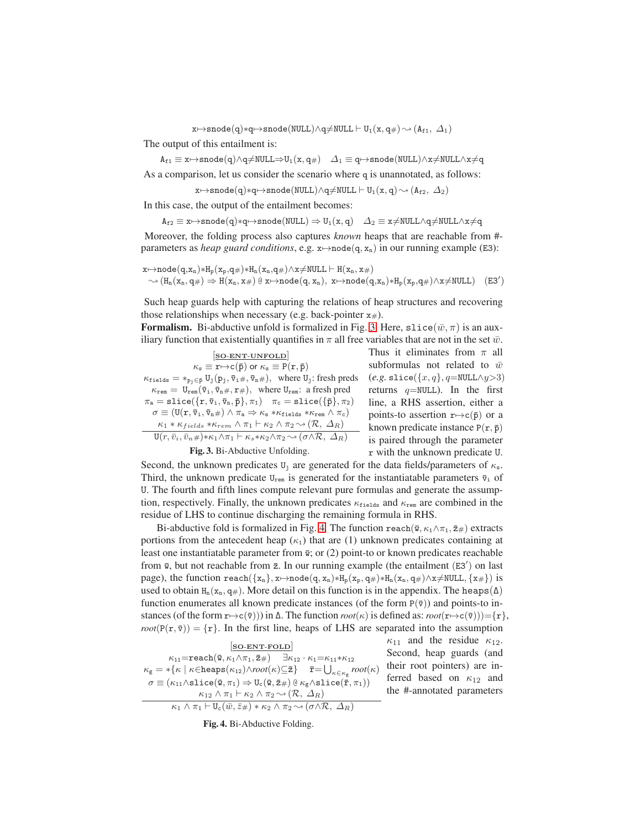$x \mapsto \texttt{snode}(q) * q \mapsto \texttt{snode}(NULL) \land q \neq \texttt{NULL} \vdash U_1(x, q \neq) \rightsquigarrow (A_{f1}, \Delta_1)$ 

The output of this entailment is:

 $A_{f1} \equiv x \mapsto \texttt{snode}(q) \wedge q \neq \texttt{NULL} \Rightarrow U_1(x, q \#) \quad \Delta_1 \equiv q \mapsto \texttt{snode}(\texttt{NULL}) \wedge x \neq \texttt{NULL} \wedge x \neq q$ As a comparison, let us consider the scenario where q is unannotated, as follows:

 $x \mapsto \texttt{snode}(q) * q \mapsto \texttt{snode}(NULL) \wedge q \neq \texttt{NULL} \vdash U_1(x, q) \rightsquigarrow (A_{f2}, \Delta_2)$ 

In this case, the output of the entailment becomes:

 $A_{f2} \equiv x \mapsto \texttt{snode}(q) * q \mapsto \texttt{snode}(NULL) \Rightarrow U_1(x, q) \quad \Delta_2 \equiv x \neq \texttt{NULL} \wedge x \neq q$ 

Moreover, the folding process also captures *known* heaps that are reachable from # parameters as *heap guard conditions*, e.g.  $x \mapsto n \circ a(e_q, x_n)$  in our running example (E3):

$$
\begin{array}{l} x \mapsto node(q,x_n) \ast H_p(x_p,q \#) \ast H_n(x_n,q \#) \land x \neq NULL \vdash H(x_n,x \#) \\ \sim \left( H_n(x_n,q \#) \Rightarrow H(x_n,x \#) \circledcirc x \mapsto node(q,x_n), \ x \mapsto node(q,x_n) \ast H_p(x_p,q \#) \land x \neq NULL \right) \end{array} \tag{E3'}
$$

Such heap guards help with capturing the relations of heap structures and recovering those relationships when necessary (e.g. back-pointer  $x#$ ).

**Formalism.** Bi-abductive unfold is formalized in Fig. [3.](#page-8-0) Here,  $\text{slice}(\bar{w}, \pi)$  is an auxiliary function that existentially quantifies in  $\pi$  all free variables that are not in the set  $\bar{w}$ .

| SO-ENT-UNFOLD                                                                                                                                                   |
|-----------------------------------------------------------------------------------------------------------------------------------------------------------------|
| $\kappa_{\rm s} \equiv \mathbf{r} \mapsto c(\mathbf{\bar{p}})$ or $\kappa_{\rm s} \equiv P(\mathbf{r}, \mathbf{\bar{p}})$                                       |
| $\kappa_{\text{fields}} = *_{p_j \in \bar{p}} U_j(p_j, \bar{v}_{i}, \bar{w}_{n},))$ , where $U_j$ : fresh preds                                                 |
| $\kappa_{\text{rem}} = U_{\text{rem}}(\bar{v}_i, \bar{v}_{n}, \pi_{\#}),$ where $U_{\text{rem}}$ : a fresh pred                                                 |
| $\pi_a = \texttt{slice}(\{\mathbf{r}, \bar{\mathbf{v}}_i, \bar{\mathbf{v}}_n, \bar{\mathbf{p}}\}, \pi_1)$ $\pi_c = \texttt{slice}(\{\bar{\mathbf{p}}\}, \pi_2)$ |
| $\sigma \equiv (U(r, \bar{v}_1, \bar{v}_n)) \wedge \pi_a \Rightarrow \kappa_s * \kappa_{\text{fields}} * \kappa_{\text{rem}} \wedge \pi_c)$                     |
| $\kappa_1 * \kappa_{fields} * \kappa_{rem} \wedge \pi_1 \vdash \kappa_2 \wedge \pi_2 \rightsquigarrow (\mathcal{R}, \Delta_R)$                                  |
| $U(r, \bar{v}_i, \bar{v}_n) * \kappa_1 \wedge \pi_1 \vdash \kappa_s * \kappa_2 \wedge \pi_2 \leadsto (\sigma \wedge \mathcal{R}, \Delta_R)$                     |
| Fig. 3. Bi-Abductive Unfolding.                                                                                                                                 |

Thus it eliminates from  $\pi$  all subformulas not related to  $\bar{w}$  $(e.g. \text{slice}(\{x, q\}, q=\text{NULL}\land y>3)$ returns  $q=$ NULL). In the first line, a RHS assertion, either a points-to assertion  $r \mapsto c(\bar{p})$  or a known predicate instance  $P(r, \bar{p})$ is paired through the parameter r with the unknown predicate U.

<span id="page-8-0"></span>Second, the unknown predicates  $U_j$  are generated for the data fields/parameters of  $\kappa_s$ . Third, the unknown predicate  $U_{\text{rem}}$  is generated for the instantiatable parameters  $\bar{v}_i$  of U. The fourth and fifth lines compute relevant pure formulas and generate the assumption, respectively. Finally, the unknown predicates  $\kappa_{\text{field}}$  and  $\kappa_{\text{rem}}$  are combined in the residue of LHS to continue discharging the remaining formula in RHS.

Bi-abductive fold is formalized in Fig. [4.](#page-8-1) The function reach( $\bar{w}$ ,  $\kappa_1 \wedge \pi_1$ ,  $\bar{z}$  $\neq$ ) extracts portions from the antecedent heap  $(\kappa_1)$  that are (1) unknown predicates containing at least one instantiatable parameter from  $\bar{w}$ ; or (2) point-to or known predicates reachable from  $\bar{w}$ , but not reachable from  $\bar{z}$ . In our running example (the entailment (E3') on last page), the function reach( ${x_n}$ , x $\mapsto$ node(q, x<sub>n</sub>)∗H<sub>p</sub>(x<sub>p</sub>, q#)∗H<sub>n</sub>(x<sub>n</sub>, q#)∧x≠NULL, {x#}) is used to obtain  $H_n(x_n, q)$ . More detail on this function is in the appendix. The heaps( $\Delta$ ) function enumerates all known predicate instances (of the form  $P(\bar{v})$ ) and points-to instances (of the form  $r \mapsto c(\bar{v})$ )) in  $\Delta$ . The function *root*( $\kappa$ ) is defined as: *root*( $r \mapsto c(\bar{v})$ ))={r},  $root(P(r, \bar{v})) = \{r\}$ . In the first line, heaps of LHS are separated into the assumption

[SO-ENT-FOLD]  $\kappa_{11}{=}\texttt{reach}(\overline{\mathtt{w}},\kappa_1\wedge\pi_1,\overline{\mathtt{z}}\#) \quad \exists \kappa_{12}\cdot\kappa_1{=}\kappa_{11}{*}\kappa_{12}$  $\kappa_{\mathsf{g}} = * \{ \kappa \mid \kappa \in \mathsf{heaps}(\kappa_{12}) \wedge root(\kappa) \subseteq \bar{\mathsf{z}} \} \quad \bar{\mathsf{r}} = \bigcup_{\kappa \in \kappa_{\mathsf{g}}} root(\kappa)$  $\sigma \equiv (\kappa_{11} \wedge \texttt{slice}(\bar{w}, \pi_1) \Rightarrow U_c(\bar{w}, \bar{z})) \; \text{if} \; \kappa_g \wedge \texttt{slice}(\bar{r}, \pi_1))$  $\kappa_{12} \wedge \pi_1 \vdash \kappa_2 \wedge \pi_2 \!\rightsquigarrow (\mathcal{R}, \Delta_R)$  $\kappa_1 \wedge \pi_1 \vdash U_c(\bar{w}, \bar{z}_\#) * \kappa_2 \wedge \pi_2 \leadsto (\sigma \wedge \mathcal{R}, \Delta_R)$ 

 $\kappa_{11}$  and the residue  $\kappa_{12}$ . Second, heap guards (and their root pointers) are inferred based on  $\kappa_{12}$  and the #-annotated parameters

<span id="page-8-1"></span>Fig. 4. Bi-Abductive Folding.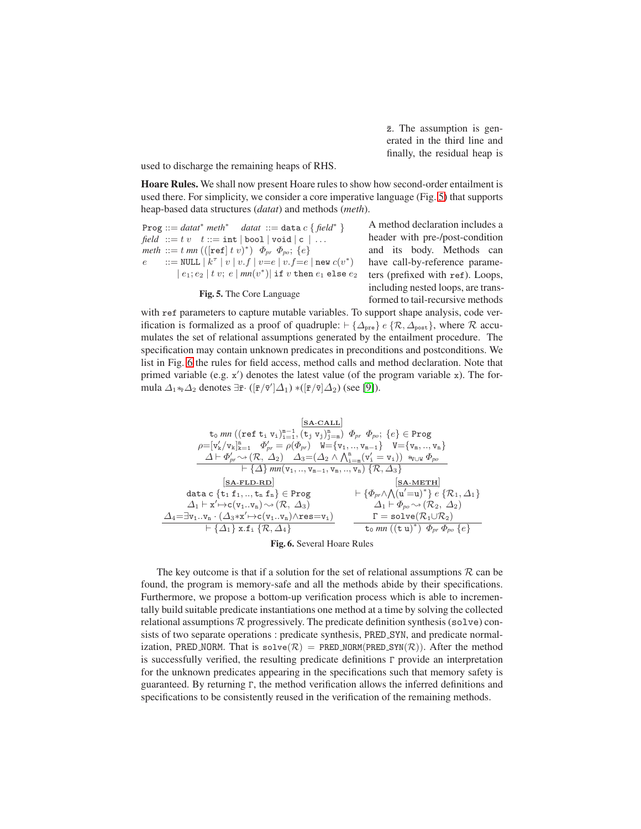¯z. The assumption is generated in the third line and finally, the residual heap is

used to discharge the remaining heaps of RHS.

Hoare Rules. We shall now present Hoare rules to show how second-order entailment is used there. For simplicity, we consider a core imperative language (Fig. [5\)](#page-9-0) that supports heap-based data structures (*datat*) and methods (*meth*).

 $\text{Prog} ::= datat^* \text{meth}^* \quad datat ::= data \ c \ \{ \ \text{field}^* \ \}$ *field* ::=  $t v$   $t$  ::= int | bool | void | c | ...  $meth ::= t \space mm \space ((\text{[ref]} \space t \space v)^*) \space \Phi_{pr} \space \Phi_{po}; \space \{e\}$  $e$  ::= NULL  $|k^{\tau}| v | v.f | v = e | v.f = e | \text{ new } c(v^*)$  $|e_1; e_2|$  t  $v; e |mn(v^*)|$  if  $v$  then  $e_1$  else  $e_2$ 

<span id="page-9-0"></span>Fig. 5. The Core Language

A method declaration includes a header with pre-/post-condition and its body. Methods can have call-by-reference parameters (prefixed with ref). Loops, including nested loops, are transformed to tail-recursive methods

with ref parameters to capture mutable variables. To support shape analysis, code verification is formalized as a proof of quadruple:  $\vdash \{\Delta_{pre}\}\ e \{\mathcal{R}, \Delta_{post}\}\$ , where  $\mathcal R$  accumulates the set of relational assumptions generated by the entailment procedure. The specification may contain unknown predicates in preconditions and postconditions. We list in Fig. [6](#page-9-1) the rules for field access, method calls and method declaration. Note that primed variable (e.g. x') denotes the latest value (of the program variable x). The formula  $\Delta_1 \ast \Delta_2$  denotes  $\exists \bar{\mathbf{r}} \cdot ([\bar{\mathbf{r}}/\bar{\mathbf{v}}'] \Delta_1) \ast ([\bar{\mathbf{r}}/\bar{\mathbf{v}}] \Delta_2)$  (see [\[9\]](#page-17-3)).

[SA-CALL] t<sup>0</sup> *mn* ((ref t<sup>i</sup> vi) m−1 i=1 ,(t<sup>j</sup> vj) n <sup>j</sup>=m) Φ*pr* Φ*po*; {e} ∈ Prog ρ=[v ′ <sup>k</sup>/vk] n <sup>k</sup>=<sup>1</sup> Φ ′ *pr* = ρ(Φ*pr*) W={v1, .., vm−1} V={vm, .., vn} ∆ ⊢ Φ ′ *pr* ❀ (R, ∆2) ∆3=(∆<sup>2</sup> ∧ V<sup>n</sup> i=m (v ′ <sup>i</sup> = vi)) ∗V∪<sup>W</sup> Φ*po* ⊢ {∆} *mn*(v1, .., vm−1, vm, .., vn) {R, ∆3} [SA-FLD-RD] data c {t<sup>1</sup> f1, .., t<sup>n</sup> fn} ∈ Prog ∆<sup>1</sup> ⊢ x ′ 7→c(v1..vn) ❀ (R, ∆3) ∆4=∃v1..v<sup>n</sup> · (∆3∗x ′ 7→c(v1..vn)∧res=vi) ⊢ {∆1} x.f<sup>i</sup> {R, ∆4} [SA-METH] ⊢ {Φ*pr*∧ V (u ′=u) ∗ } e {R1, ∆1} ∆<sup>1</sup> ⊢ Φ*po* ❀ (R2, ∆2) Γ = solve(R1∪R2) t<sup>0</sup> *mn* ((t u) ∗ ) Φ*pr* Φ*po* {e}

<span id="page-9-1"></span>Fig. 6. Several Hoare Rules

The key outcome is that if a solution for the set of relational assumptions  $\mathcal R$  can be found, the program is memory-safe and all the methods abide by their specifications. Furthermore, we propose a bottom-up verification process which is able to incrementally build suitable predicate instantiations one method at a time by solving the collected relational assumptions  $R$  progressively. The predicate definition synthesis (solve) consists of two separate operations : predicate synthesis, PRED SYN, and predicate normalization, PRED NORM. That is  $solve(\mathcal{R}) = PRED_NORM(PRED_SYN(\mathcal{R}))$ . After the method is successfully verified, the resulting predicate definitions  $\Gamma$  provide an interpretation for the unknown predicates appearing in the specifications such that memory safety is guaranteed. By returning Γ, the method verification allows the inferred definitions and specifications to be consistently reused in the verification of the remaining methods.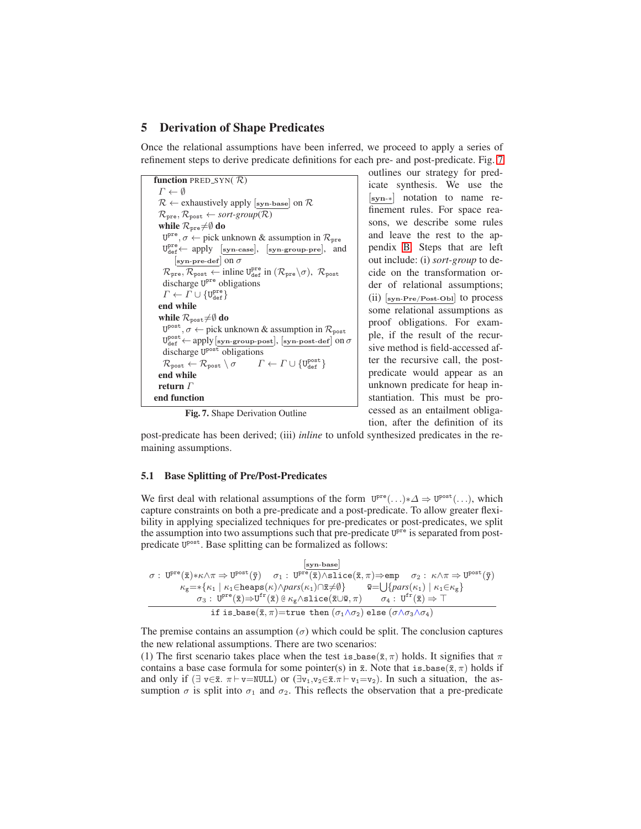# <span id="page-10-0"></span>5 Derivation of Shape Predicates

Once the relational assumptions have been inferred, we proceed to apply a series of refinement steps to derive predicate definitions for each pre- and post-predicate. Fig. [7](#page-10-1)

| function PRED_SYN $(\mathcal{R})$                                                                                                                                                          |
|--------------------------------------------------------------------------------------------------------------------------------------------------------------------------------------------|
| $\Gamma \leftarrow \emptyset$                                                                                                                                                              |
| $\mathcal{R} \leftarrow$ exhaustively apply  syn-base  on $\mathcal{R}$                                                                                                                    |
| $\mathcal{R}_{\text{pre}}, \mathcal{R}_{\text{post}} \leftarrow sort\text{-}group(\mathcal{R})$                                                                                            |
| while $\mathcal{R}_{\text{pre}} \neq \emptyset$ do                                                                                                                                         |
| $U^{pre}, \sigma \leftarrow \text{pick unknown} \&$ assumption in $\mathcal{R}_{\text{pre}}$                                                                                               |
| $U_{\text{def}}^{\text{pre}} \leftarrow \text{ apply } [\text{syn-case}], [\text{syn-group-pre}], \text{ and}$                                                                             |
| syn-pre-def 00 $\sigma$                                                                                                                                                                    |
| $\mathcal{R}_{\text{pre}}, \mathcal{R}_{\text{post}} \leftarrow \text{inline } U_{\text{def}}^{\text{pre}}$ in $(\mathcal{R}_{\text{pre}} \setminus \sigma)$ , $\mathcal{R}_{\text{post}}$ |
| discharge U <sup>pre</sup> obligations                                                                                                                                                     |
| $\Gamma \leftarrow \Gamma \cup \{U_{\text{def}}^{\text{pre}}\}\$                                                                                                                           |
| end while                                                                                                                                                                                  |
| while $\mathcal{R}_{\text{post}} \neq \emptyset$ do                                                                                                                                        |
| $U^{\text{post}}, \sigma \leftarrow \text{pick unknown} \ \& \ \text{assumption in} \ \mathcal{R}_{\text{post}}$                                                                           |
| $U_{\text{def}}^{\text{post}} \leftarrow \text{apply} \left[ \text{syn-group-post} \right], \left[ \text{syn-post-def} \right] \text{ on } \sigma$                                         |
| discharge U <sup>post</sup> obligations                                                                                                                                                    |
| $\mathcal{R}_{\text{post}} \leftarrow \mathcal{R}_{\text{post}} \setminus \sigma \qquad \Gamma \leftarrow \Gamma \cup \{U_{\text{def}}^{\text{post}}\}\$                                   |
| end while                                                                                                                                                                                  |
| return $\Gamma$                                                                                                                                                                            |
| end function                                                                                                                                                                               |

<span id="page-10-1"></span>Fig. 7. Shape Derivation Outline

outlines our strategy for predicate synthesis. We use the [syn-∗] notation to name refinement rules. For space reasons, we describe some rules and leave the rest to the appendix [B.](#page-19-0) Steps that are left out include: (i) *sort-group* to decide on the transformation order of relational assumptions; (ii) [syn-Pre/Post-Obl] to process some relational assumptions as proof obligations. For example, if the result of the recursive method is field-accessed after the recursive call, the postpredicate would appear as an unknown predicate for heap instantiation. This must be processed as an entailment obligation, after the definition of its

post-predicate has been derived; (iii) *inline* to unfold synthesized predicates in the remaining assumptions.

#### 5.1 Base Splitting of Pre/Post-Predicates

We first deal with relational assumptions of the form  $U^{pre}(\ldots)*\Delta \Rightarrow U^{post}(\ldots)$ , which capture constraints on both a pre-predicate and a post-predicate. To allow greater flexibility in applying specialized techniques for pre-predicates or post-predicates, we split the assumption into two assumptions such that pre-predicate UPre is separated from postpredicate U<sup>post</sup>. Base splitting can be formalized as follows:

$$
\sigma: U^{pre}(\bar{x})*\kappa \wedge \pi \Rightarrow U^{post}(\bar{y}) \quad \sigma_1: U^{pre}(\bar{x})\wedge \text{slice}(\bar{x}, \pi) \Rightarrow \text{emp} \quad \sigma_2: \kappa \wedge \pi \Rightarrow U^{post}(\bar{y}) \quad \kappa_{g} = * \{\kappa_1 \mid \kappa_1 \in \text{heaps}(\kappa) \wedge \text{pars}(\kappa_1) \cap \bar{x} \neq \emptyset\} \quad \bar{w} = \bigcup \{\text{pars}(\kappa_1) \mid \kappa_1 \in \kappa_g\} \quad \sigma_3: U^{pre}(\bar{x}) \Rightarrow U^{fr}(\bar{x}) \stackrel{\partial}{=} \kappa_g \wedge \text{slice}(\bar{x} \cup \bar{w}, \pi) \quad \sigma_4: U^{fr}(\bar{x}) \Rightarrow \top
$$
\n
$$
\text{if } \text{is} \text{base}(\bar{x}, \pi) = \text{true} \text{ then } (\sigma_1 \wedge \sigma_2) \text{ else } (\sigma \wedge \sigma_3 \wedge \sigma_4)
$$

The premise contains an assumption  $(\sigma)$  which could be split. The conclusion captures the new relational assumptions. There are two scenarios:

(1) The first scenario takes place when the test is base( $\bar{x}, \pi$ ) holds. It signifies that  $\pi$ contains a base case formula for some pointer(s) in  $\bar{x}$ . Note that is base( $\bar{x}, \pi$ ) holds if and only if ( $\exists v \in \bar{x}$ .  $\pi \vdash v = NULL$ ) or ( $\exists v_1, v_2 \in \bar{x}$ .  $\pi \vdash v_1 = v_2$ ). In such a situation, the assumption  $\sigma$  is split into  $\sigma_1$  and  $\sigma_2$ . This reflects the observation that a pre-predicate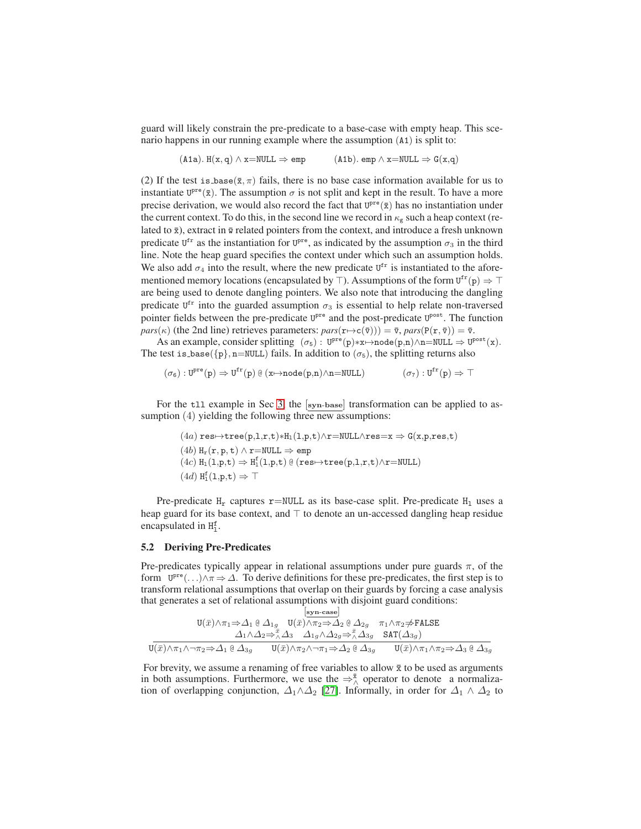guard will likely constrain the pre-predicate to a base-case with empty heap. This scenario happens in our running example where the assumption (A1) is split to:

$$
(A1a). H(x,q) \land x = NULL \Rightarrow emp \qquad (A1b). emp \land x = NULL \Rightarrow G(x,q)
$$

(2) If the test is base( $\bar{x}, \pi$ ) fails, there is no base case information available for us to instantiate  $U^{pre}(\bar{x})$ . The assumption  $\sigma$  is not split and kept in the result. To have a more precise derivation, we would also record the fact that  $U^{pre}(\bar{x})$  has no instantiation under the current context. To do this, in the second line we record in  $\kappa_{\epsilon}$  such a heap context (related to  $\bar{x}$ ), extract in  $\bar{w}$  related pointers from the context, and introduce a fresh unknown predicate U<sup>fr</sup> as the instantiation for U<sup>pre</sup>, as indicated by the assumption  $\sigma_3$  in the third line. Note the heap guard specifies the context under which such an assumption holds. We also add  $\sigma_4$  into the result, where the new predicate  $U^{fr}$  is instantiated to the aforementioned memory locations (encapsulated by ⊤). Assumptions of the form  $U^{fr}(p) \Rightarrow \top$ are being used to denote dangling pointers. We also note that introducing the dangling predicate  $U^{fr}$  into the guarded assumption  $\sigma_3$  is essential to help relate non-traversed pointer fields between the pre-predicate U<sup>pre</sup> and the post-predicate U<sup>post</sup>. The function  $pars(\kappa)$  (the 2nd line) retrieves parameters:  $pars(\mathbf{r} \rightarrow c(\bar{\mathbf{v}})) = \bar{\mathbf{v}}, \text{ } pars(\mathbf{P}(\mathbf{r}, \bar{\mathbf{v}})) = \bar{\mathbf{v}}.$ 

As an example, consider splitting  $(\sigma_5) : U^{pre}(p) * x \mapsto node(p,n) \wedge n = NULL \Rightarrow U^{post}(x)$ . The test is base( $\{p\}$ , n=NULL) fails. In addition to ( $\sigma_5$ ), the splitting returns also

$$
(\sigma_{6}):\mathtt{U}^{pre}(p)\Rightarrow \mathtt{U}^{fr}(p)\circ (\mathtt{x}\mapsto \mathtt{node}(p,n)\wedge \mathtt{n}=\mathtt{NULL})\qquad \qquad (\sigma_{7}):\mathtt{U}^{fr}(p)\Rightarrow \top
$$

For the t11 example in Sec [3,](#page-2-0) the [syn-base] transformation can be applied to assumption (4) yielding the following three new assumptions:

$$
(4a) \text{ res} \rightarrow \text{tree}(p,1,r,t) \ast H_1(1,p,t) \land r = \text{NULL} \land \text{res} = x \Rightarrow G(x,p,res,t)
$$
\n
$$
(4b) H_r(r,p,t) \land r = \text{NULL} \Rightarrow \text{emp}
$$
\n
$$
(4c) H_1(1,p,t) \Rightarrow H_1^f(1,p,t) \text{ @ (res} \rightarrow \text{tree}(p,1,r,t) \land r = \text{NULL})
$$
\n
$$
(4d) H_1^f(1,p,t) \Rightarrow \top
$$

Pre-predicate  $H_r$  captures  $r$ =NULL as its base-case split. Pre-predicate  $H_1$  uses a heap guard for its base context, and ⊤ to denote an un-accessed dangling heap residue encapsulated in  $H_1^f$ .

# 5.2 Deriving Pre-Predicates

Pre-predicates typically appear in relational assumptions under pure guards  $\pi$ , of the form  $U^{pre}(\ldots)\wedge \pi \Rightarrow \Delta$ . To derive definitions for these pre-predicates, the first step is to transform relational assumptions that overlap on their guards by forcing a case analysis that generates a set of relational assumptions with disjoint guard conditions:

$$
\mathbf{U}(\bar{x}) \wedge \pi_1 \Rightarrow \Delta_1 \oplus \Delta_{1g} \qquad \mathbf{U}(\bar{x}) \wedge \pi_2 \Rightarrow \Delta_2 \oplus \Delta_{2g} \qquad \pi_1 \wedge \pi_2 \neq \text{FALSE}
$$
\n
$$
\Delta_1 \wedge \Delta_2 \Rightarrow_{\wedge}^{\bar{x}} \Delta_3 \qquad \Delta_{1g} \wedge \Delta_{2g} \Rightarrow_{\wedge}^{\bar{x}} \Delta_{3g} \qquad \text{SAT}(\Delta_{3g})
$$
\n
$$
\mathbf{U}(\bar{x}) \wedge \pi_1 \wedge \pi_2 \Rightarrow \Delta_1 \oplus \Delta_{3g} \qquad \mathbf{U}(\bar{x}) \wedge \pi_2 \wedge \pi_1 \Rightarrow \Delta_2 \oplus \Delta_{3g} \qquad \mathbf{U}(\bar{x}) \wedge \pi_1 \wedge \pi_2 \Rightarrow \Delta_3 \oplus \Delta_{3g}
$$

For brevity, we assume a renaming of free variables to allow  $\bar{x}$  to be used as arguments in both assumptions. Furthermore, we use the  $\Rightarrow^{\bar{x}}_{\wedge}$  operator to denote a normalization of overlapping conjunction,  $\Delta_1 \wedge \Delta_2$  [\[27\]](#page-18-2). Informally, in order for  $\Delta_1 \wedge \Delta_2$  to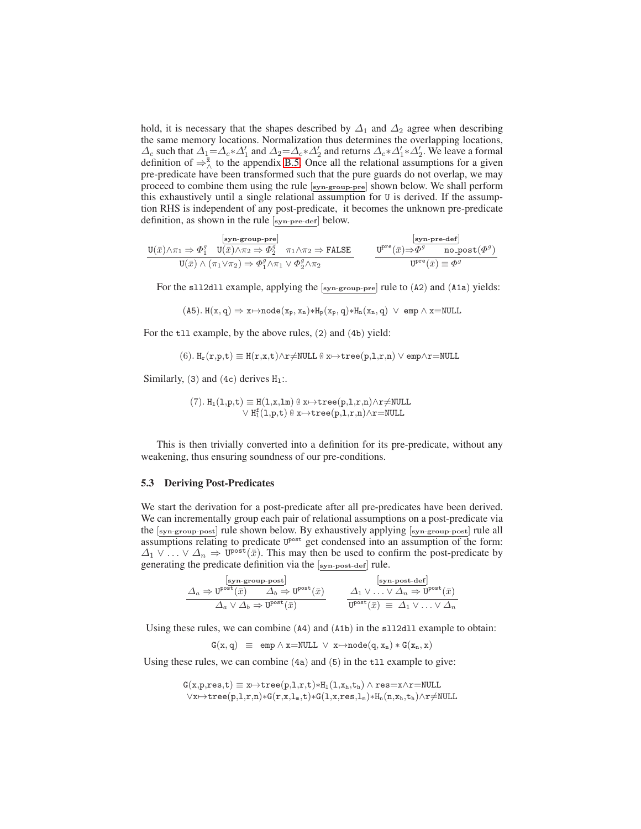hold, it is necessary that the shapes described by  $\Delta_1$  and  $\Delta_2$  agree when describing the same memory locations. Normalization thus determines the overlapping locations,  $\Delta_c$  such that  $\Delta_1 = \Delta_c * \Delta'_1$  and  $\Delta_2 = \Delta_c * \Delta'_2$  and returns  $\Delta_c * \Delta'_1 * \Delta'_2$ . We leave a formal definition of  $\Rightarrow_{\wedge}^{\bar{x}}$  to the appendix [B.5.](#page-21-0) Once all the relational assumptions for a given pre-predicate have been transformed such that the pure guards do not overlap, we may proceed to combine them using the rule [syn-group-pre] shown below. We shall perform this exhaustively until a single relational assumption for U is derived. If the assumption RHS is independent of any post-predicate, it becomes the unknown pre-predicate definition, as shown in the rule  $[\text{syn-pre-def}]$  below.

$$
\frac{\text{[syn-group-pre]}}{\text{U}(\bar{x}) \land \pi_1 \Rightarrow \Phi_1^g \quad \text{U}(\bar{x}) \land \pi_2 \Rightarrow \Phi_2^g \quad \pi_1 \land \pi_2 \Rightarrow \text{FALSE}}{\text{U}(\bar{x}) \land (\pi_1 \lor \pi_2) \Rightarrow \Phi_1^g \land \pi_1 \lor \Phi_2^g \land \pi_2} \qquad \frac{\text{[syn-pre-def]}}{\text{U}^{\text{pre}}(\bar{x}) \Rightarrow \Phi^g \quad \text{no-post}(\Phi^g)}{\text{U}^{\text{pre}}(\bar{x}) \equiv \Phi^g}
$$

For the s112d11 example, applying the [syn-group-pre] rule to (A2) and (A1a) yields:

 $(AB)$ . H(x, q)  $\Rightarrow$  x $\mapsto$ node(x<sub>p</sub>, x<sub>n</sub>)\*H<sub>p</sub>(x<sub>p</sub>, q)\*H<sub>n</sub>(x<sub>n</sub>, q)  $\vee$  emp  $\wedge$  x=NULL

For the tll example, by the above rules, (2) and (4b) yield:

$$
(6). H_r(r,p,t) \equiv H(r,x,t) \wedge r \neq \text{NULL} \otimes x \mapsto \text{tree}(p,1,r,n) \vee \text{emp} \wedge r = \text{NULL}
$$

Similarly, (3) and (4c) derives  $H_1$ :.

$$
(7). H_1(1,p,t) \equiv H(1,x,lm) @ x \mapsto tree(p,l,r,n) \land r \neq NULL \\ \lor H_1^f(1,p,t) @ x \mapsto tree(p,l,r,n) \land r = NULL
$$

This is then trivially converted into a definition for its pre-predicate, without any weakening, thus ensuring soundness of our pre-conditions.

#### 5.3 Deriving Post-Predicates

We start the derivation for a post-predicate after all pre-predicates have been derived. We can incrementally group each pair of relational assumptions on a post-predicate via the [syn-group-post] rule shown below. By exhaustively applying [syn-group-post] rule all assumptions relating to predicate U<sup>post</sup> get condensed into an assumption of the form:  $\Delta_1 \vee \ldots \vee \Delta_n \Rightarrow \mathbb{U}^{\text{post}}(\bar{x})$ . This may then be used to confirm the post-predicate by generating the predicate definition via the [syn-post-def ] rule.

$$
\frac{\Delta_a \Rightarrow U^{\text{post}}(\bar{x}) \qquad \Delta_b \Rightarrow U^{\text{post}}(\bar{x})}{\Delta_a \vee \Delta_b \Rightarrow U^{\text{post}}(\bar{x})} \qquad \frac{\Delta_1 \vee \ldots \vee \Delta_n \Rightarrow U^{\text{post}}(\bar{x})}{U^{\text{post}}(\bar{x})}
$$

Using these rules, we can combine (A4) and (A1b) in the s112d11 example to obtain:

 $G(x, q) \equiv \text{emp } \wedge x = \text{NULL} \vee x \mapsto \text{node}(q, x_n) * G(x_n, x)$ 

Using these rules, we can combine (4a) and (5) in the tll example to give:

$$
\begin{array}{l}G(x,p,res,t)\equiv x\!\mapsto\! tree(p,l,r,t)*H_1(1,x_h,t_h)\wedge res\!=\! x\!\wedge\! r\!=\!\!\text{NULL}\\ \vee\! x\!\mapsto\! tree(p,l,r,n)*G(r,x,l_m,t)*G(l,x,res,l_m)*H_n(n,x_h,t_h)\!\wedge\! r\!\ne\!\!\text{NULL}\end{array}
$$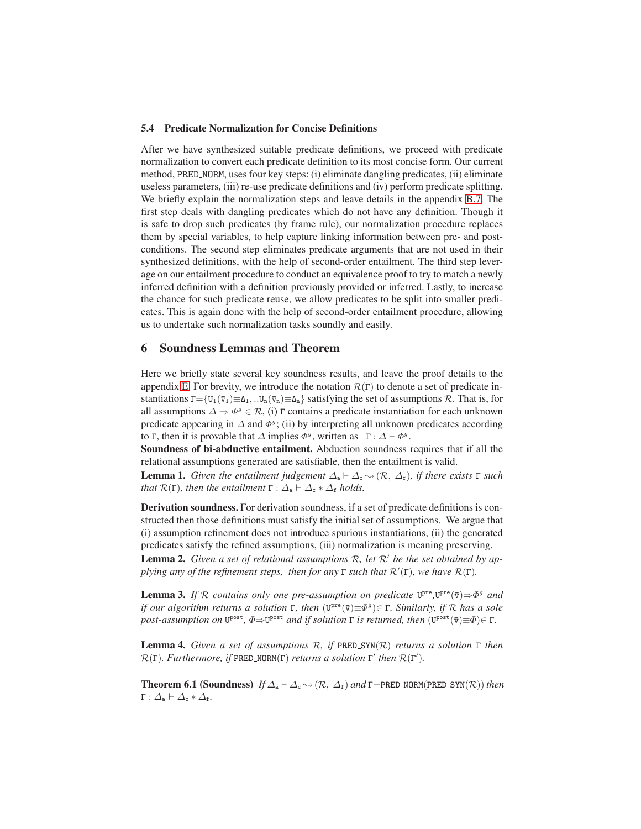#### 5.4 Predicate Normalization for Concise Definitions

After we have synthesized suitable predicate definitions, we proceed with predicate normalization to convert each predicate definition to its most concise form. Our current method, PRED NORM, uses four key steps: (i) eliminate dangling predicates, (ii) eliminate useless parameters, (iii) re-use predicate definitions and (iv) perform predicate splitting. We briefly explain the normalization steps and leave details in the appendix [B.7.](#page-22-0) The first step deals with dangling predicates which do not have any definition. Though it is safe to drop such predicates (by frame rule), our normalization procedure replaces them by special variables, to help capture linking information between pre- and postconditions. The second step eliminates predicate arguments that are not used in their synthesized definitions, with the help of second-order entailment. The third step leverage on our entailment procedure to conduct an equivalence proof to try to match a newly inferred definition with a definition previously provided or inferred. Lastly, to increase the chance for such predicate reuse, we allow predicates to be split into smaller predicates. This is again done with the help of second-order entailment procedure, allowing us to undertake such normalization tasks soundly and easily.

#### <span id="page-13-1"></span>6 Soundness Lemmas and Theorem

Here we briefly state several key soundness results, and leave the proof details to the appendix [E.](#page-29-0) For brevity, we introduce the notation  $\mathcal{R}(\Gamma)$  to denote a set of predicate instantiations  $\Gamma = \{U_1(\bar{v}_1) \equiv \Delta_1, . .U_n(\bar{v}_n) \equiv \Delta_n\}$  satisfying the set of assumptions R. That is, for all assumptions  $\Delta \Rightarrow \Phi^g \in \mathcal{R}$ , (i)  $\Gamma$  contains a predicate instantiation for each unknown predicate appearing in  $\Delta$  and  $\Phi^g$ ; (ii) by interpreting all unknown predicates according to Γ, then it is provable that  $\Delta$  implies  $\Phi^g$ , written as  $\Gamma : \Delta \vdash \Phi^g$ .

<span id="page-13-0"></span>Soundness of bi-abductive entailment. Abduction soundness requires that if all the relational assumptions generated are satisfiable, then the entailment is valid.

**Lemma 1.** *Given the entailment judgement*  $\Delta_a \vdash \Delta_c \rightarrow (\mathcal{R}, \Delta_f)$ *, if there exists*  $\Gamma$  *such that*  $\mathcal{R}(\Gamma)$ *, then the entailment*  $\Gamma$  :  $\Delta_{a} \vdash \Delta_{c} * \Delta_{f}$  *holds.* 

Derivation soundness. For derivation soundness, if a set of predicate definitions is constructed then those definitions must satisfy the initial set of assumptions. We argue that (i) assumption refinement does not introduce spurious instantiations, (ii) the generated predicates satisfy the refined assumptions, (iii) normalization is meaning preserving.

<span id="page-13-3"></span><span id="page-13-2"></span>Lemma 2. *Given a set of relational assumptions* R*, let* R′ *be the set obtained by applying any of the refinement steps, then for any* Γ *such that* R′ (Γ)*, we have* R(Γ)*.*

**Lemma 3.** If R contains only one pre-assumption on predicate  $U^{pre}, U^{pre}(\bar{\tau}) \Rightarrow \Phi^g$  and *if our algorithm returns a solution* Γ, then (U<sup>pre</sup>( $\bar{\mathbf{v}}$ )≡ $\Phi$ <sup>g</sup>)∈ Γ. Similarly, if *R* has a sole *post-assumption on* U<sup>post</sup>,  $\Phi$  ⇒U<sup>post</sup> and if solution Γ is returned, then  $(U^{post}(\bar{v})\equiv \Phi) \in Γ$ .

<span id="page-13-4"></span>Lemma 4. *Given a set of assumptions* R*, if* PRED SYN(R) *returns a solution* Γ *then*  $\mathcal{R}(\Gamma)$ *. Furthermore, if* PRED\_NORM(Γ) *returns a solution*  $\Gamma'$  *then*  $\mathcal{R}(\Gamma')$ *.* 

**Theorem 6.1 (Soundness)** *If*  $\Delta_a \vdash \Delta_c \sim (\mathcal{R}, \Delta_f)$  *and*  $\Gamma = \text{PRED}$  NORM(PRED SYN( $\mathcal{R}$ )) *then* Γ:  $\Delta$ <sub>a</sub>  $\vdash$   $\Delta$ <sub>c</sub> \*  $\Delta$ <sub>f</sub>.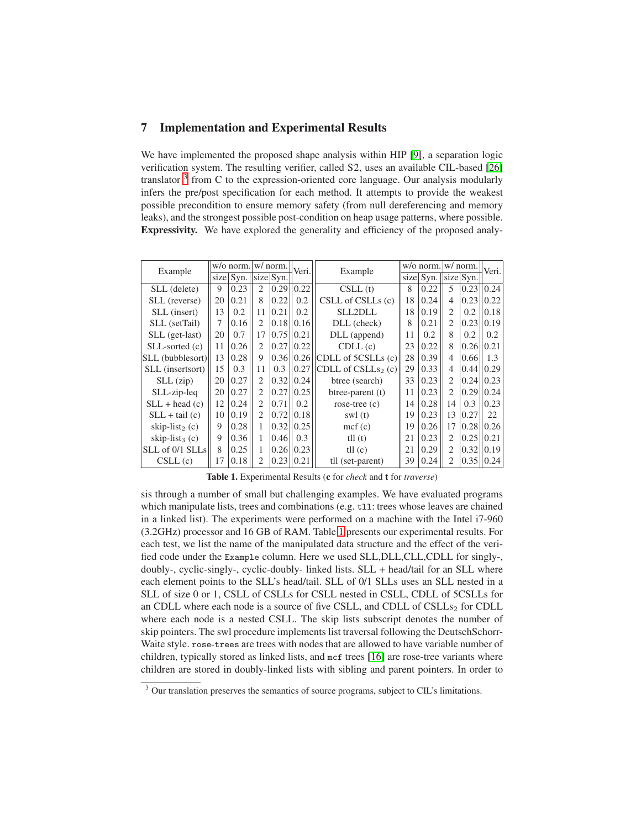# <span id="page-14-2"></span>7 Implementation and Experimental Results

We have implemented the proposed shape analysis within HIP [\[9\]](#page-17-3), a separation logic verification system. The resulting verifier, called S2, uses an available CIL-based [\[26\]](#page-18-4) translator<sup>[3](#page-14-0)</sup> from C to the expression-oriented core language. Our analysis modularly infers the pre/post specification for each method. It attempts to provide the weakest possible precondition to ensure memory safety (from null dereferencing and memory leaks), and the strongest possible post-condition on heap usage patterns, where possible. Expressivity. We have explored the generality and efficiency of the proposed analy-

| Example                      | w/o norm. |      | w/ norm.       |                       | Veri.            | Example               | w/o norm. |      | w/ norm.       |           | Veri. |  |
|------------------------------|-----------|------|----------------|-----------------------|------------------|-----------------------|-----------|------|----------------|-----------|-------|--|
|                              | size      | Syn. |                | size Syn.             |                  |                       | size      | Syn. |                | size Syn. |       |  |
| SLL (delete)                 | 9         | 0.23 | $\overline{2}$ | 0.29                  | 0.22             | CSLL(t)               | 8         | 0.22 | 5              | 0.23      | 0.24  |  |
| SLL (reverse)                | 20        | 0.21 | 8              | 0.22                  | 0.2              | CSLL of CSLLs (c)     | 18        | 0.24 | $\overline{4}$ | 0.23      | 0.22  |  |
| SLL (insert)                 | 13        | 0.2  | 11             | 0.21                  | 0.2              | <b>SLL2DLL</b>        | 18        | 0.19 | $\overline{c}$ | 0.2       | 0.18  |  |
| SLL (setTail)                | 7         | 0.16 | 2              |                       | $0.18$    $0.16$ | DLL (check)           | 8         | 0.21 | $\overline{c}$ | 0.23      | 0.19  |  |
| SLL (get-last)               | 20        | 0.7  | 17             | 0.75  0.21            |                  | DLL (append)          | 11        | 0.2  | 8              | 0.2       | 0.2   |  |
| SLL-sorted (c)               | 11        | 0.26 | $\overline{2}$ | 0.27                  | 0.22             | $CDLL$ $(c)$          | 23        | 0.22 | 8              | 0.26      | 0.21  |  |
| SLL (bubblesort)             | 13        | 0.28 | 9              |                       | 0.36  0.26       | CDLL of 5CSLLs (c)    | 28        | 0.39 | $\overline{4}$ | 0.66      | 1.3   |  |
| SLL (insertsort)             | 15        | 0.3  | 11             | 0.3                   | 0.27             | CDLL of $CSLLs_2(c)$  | 29        | 0.33 | $\overline{4}$ | 0.44      | 0.29  |  |
| $SLL$ (zip)                  | 20        | 0.27 | $\overline{2}$ |                       | 0.32  0.24       | btree (search)        | 33        | 0.23 | $\overline{c}$ | 0.24      | 0.23  |  |
| SLL-zip-leq                  | 20        | 0.27 | $\overline{2}$ | 0.27                  | 0.25             | $b$ tree-parent $(t)$ | 11        | 0.23 | $\overline{c}$ | 0.29      | 0.24  |  |
| $SLL$ + head (c)             | 12        | 0.24 | $\overline{2}$ | 0.71                  | 0.2              | rose-tree $(c)$       | 14        | 0.28 | 14             | 0.3       | 0.23  |  |
| $SLL$ + tail (c)             | 10        | 0.19 | 2              | 0.72                  | $\parallel$ 0.18 | swl (t)               | 19        | 0.23 | 13             | 0.27      | 22    |  |
| skip-list <sub>2</sub> (c)   | 9         | 0.28 | 1              | $0.32 \parallel 0.25$ |                  | mcf(c)                | 19        | 0.26 | 17             | 0.28      | 0.26  |  |
| skip-list <sub>3</sub> $(c)$ | 9         | 0.36 | 1              | 0.46                  | 0.3              | tll $(t)$             | 21        | 0.23 | $\overline{c}$ | 0.25      | 0.21  |  |
| SLL of 0/1 SLLs              | 8         | 0.25 | 1              |                       | 0.26  0.23       | tll $(c)$             | 21        | 0.29 | $\overline{c}$ | 0.32      | 0.19  |  |
| CSLL(c)                      | 17        | 0.18 | 2              | $0.23 \mid 0.21$      |                  | tll (set-parent)      | 39        | 0.24 | 2              | 0.35      | 0.24  |  |

<span id="page-14-1"></span>Table 1. Experimental Results (c for *check* and t for *traverse*)

sis through a number of small but challenging examples. We have evaluated programs which manipulate lists, trees and combinations (e.g. t11: trees whose leaves are chained in a linked list). The experiments were performed on a machine with the Intel i7-960 (3.2GHz) processor and 16 GB of RAM. Table [1](#page-14-1) presents our experimental results. For each test, we list the name of the manipulated data structure and the effect of the verified code under the Example column. Here we used SLL,DLL,CLL,CDLL for singly-, doubly-, cyclic-singly-, cyclic-doubly- linked lists. SLL + head/tail for an SLL where each element points to the SLL's head/tail. SLL of 0/1 SLLs uses an SLL nested in a SLL of size 0 or 1, CSLL of CSLLs for CSLL nested in CSLL, CDLL of 5CSLLs for an CDLL where each node is a source of five CSLL, and CDLL of CSLLs $_2$  for CDLL where each node is a nested CSLL. The skip lists subscript denotes the number of skip pointers. The swl procedure implements list traversal following the DeutschSchorr-Waite style. rose-trees are trees with nodes that are allowed to have variable number of children, typically stored as linked lists, and mcf trees [\[16\]](#page-18-3) are rose-tree variants where children are stored in doubly-linked lists with sibling and parent pointers. In order to

<span id="page-14-0"></span><sup>&</sup>lt;sup>3</sup> Our translation preserves the semantics of source programs, subject to CIL's limitations.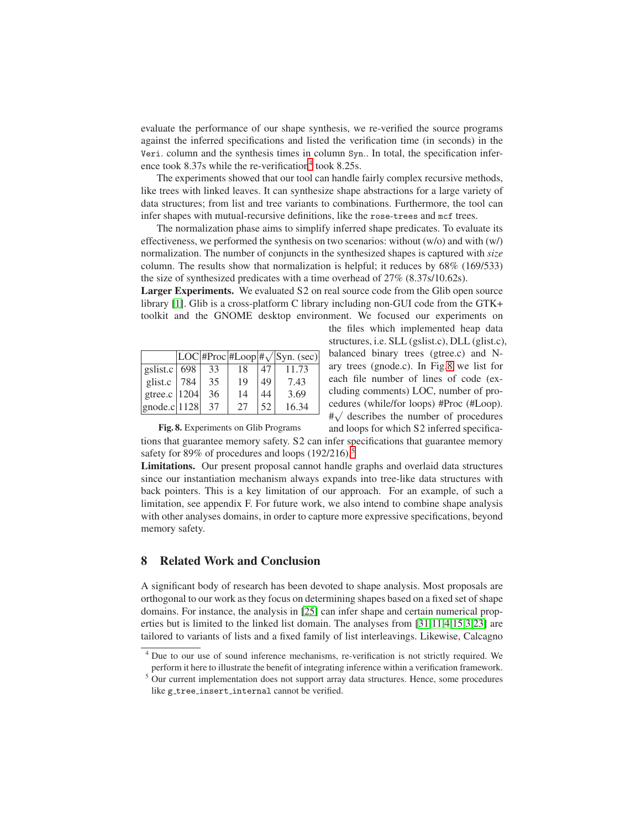evaluate the performance of our shape synthesis, we re-verified the source programs against the inferred specifications and listed the verification time (in seconds) in the Veri. column and the synthesis times in column Syn.. In total, the specification infer-ence took 8.37s while the re-verification<sup>[4](#page-15-0)</sup> took 8.25s.

The experiments showed that our tool can handle fairly complex recursive methods, like trees with linked leaves. It can synthesize shape abstractions for a large variety of data structures; from list and tree variants to combinations. Furthermore, the tool can infer shapes with mutual-recursive definitions, like the rose-trees and mcf trees.

The normalization phase aims to simplify inferred shape predicates. To evaluate its effectiveness, we performed the synthesis on two scenarios: without (w/o) and with (w/) normalization. The number of conjuncts in the synthesized shapes is captured with *size* column. The results show that normalization is helpful; it reduces by 68% (169/533) the size of synthesized predicates with a time overhead of 27% (8.37s/10.62s).

Larger Experiments. We evaluated S2 on real source code from the Glib open source library [\[1\]](#page-17-4). Glib is a cross-platform C library including non-GUI code from the GTK+ toolkit and the GNOME desktop environment. We focused our experiments on

|                      |     |    |    |    | $ LOC $ #Proc $ $ #Loop $ $ # $\sqrt{ Syn.}$ (sec) |
|----------------------|-----|----|----|----|----------------------------------------------------|
| gslist.c   $698$     |     | 33 | 18 | 47 | 11.73                                              |
| glist.c              | 784 | 35 | 19 | 49 | 7.43                                               |
| gtree.c   $1204$     |     | 36 | 14 |    | 3.69                                               |
| $ $ gnode.c $ 1128 $ |     | 37 | 27 | 52 | 16.34                                              |

the files which implemented heap data structures, i.e. SLL (gslist.c), DLL (glist.c), balanced binary trees (gtree.c) and Nary trees (gnode.c). In Fig[.8](#page-15-1) we list for each file number of lines of code (excluding comments) LOC, number of procedures (while/for loops) #Proc (#Loop). # √ describes the number of procedures and loops for which S2 inferred specifica-

<span id="page-15-1"></span>Fig. 8. Experiments on Glib Programs tions that guarantee memory safety. S2 can infer specifications that guarantee memory safety for 89% of procedures and loops (192/216).<sup>[5](#page-15-2)</sup>

Limitations. Our present proposal cannot handle graphs and overlaid data structures since our instantiation mechanism always expands into tree-like data structures with back pointers. This is a key limitation of our approach. For an example, of such a limitation, see appendix F. For future work, we also intend to combine shape analysis with other analyses domains, in order to capture more expressive specifications, beyond memory safety.

# 8 Related Work and Conclusion

A significant body of research has been devoted to shape analysis. Most proposals are orthogonal to our work as they focus on determining shapes based on a fixed set of shape domains. For instance, the analysis in [\[25\]](#page-18-5) can infer shape and certain numerical properties but is limited to the linked list domain. The analyses from [\[31](#page-18-6)[,11](#page-17-5)[,4](#page-17-1)[,15](#page-18-7)[,3,](#page-17-6)[23\]](#page-18-8) are tailored to variants of lists and a fixed family of list interleavings. Likewise, Calcagno

<sup>4</sup> Due to our use of sound inference mechanisms, re-verification is not strictly required. We perform it here to illustrate the benefit of integrating inference within a verification framework.

<span id="page-15-2"></span><span id="page-15-0"></span><sup>&</sup>lt;sup>5</sup> Our current implementation does not support array data structures. Hence, some procedures like g tree insert internal cannot be verified.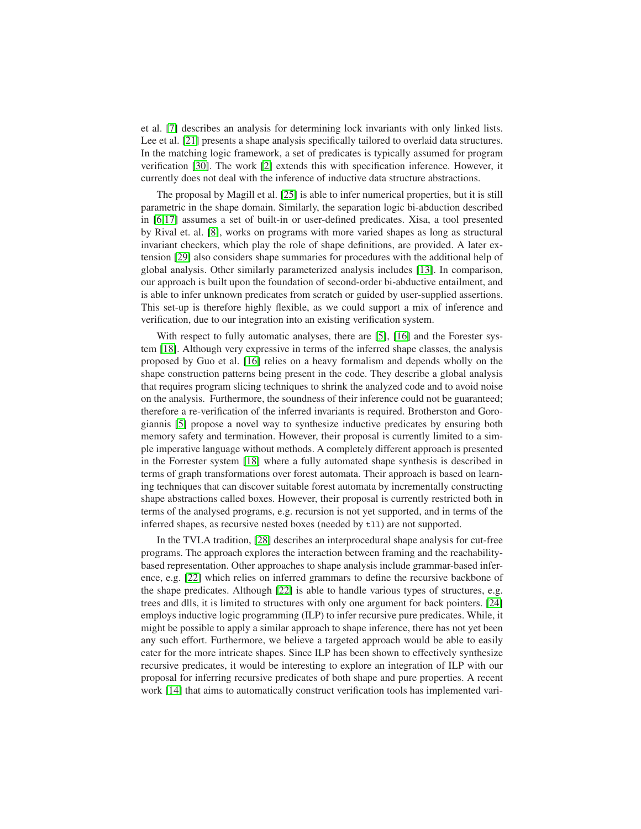et al. [\[7\]](#page-17-7) describes an analysis for determining lock invariants with only linked lists. Lee et al. [\[21\]](#page-18-9) presents a shape analysis specifically tailored to overlaid data structures. In the matching logic framework, a set of predicates is typically assumed for program verification [\[30\]](#page-18-10). The work [\[2\]](#page-17-8) extends this with specification inference. However, it currently does not deal with the inference of inductive data structure abstractions.

The proposal by Magill et al. [\[25\]](#page-18-5) is able to infer numerical properties, but it is still parametric in the shape domain. Similarly, the separation logic bi-abduction described in [\[6,](#page-17-2)[17\]](#page-18-11) assumes a set of built-in or user-defined predicates. Xisa, a tool presented by Rival et. al. [\[8\]](#page-17-9), works on programs with more varied shapes as long as structural invariant checkers, which play the role of shape definitions, are provided. A later extension [\[29\]](#page-18-12) also considers shape summaries for procedures with the additional help of global analysis. Other similarly parameterized analysis includes [\[13\]](#page-17-10). In comparison, our approach is built upon the foundation of second-order bi-abductive entailment, and is able to infer unknown predicates from scratch or guided by user-supplied assertions. This set-up is therefore highly flexible, as we could support a mix of inference and verification, due to our integration into an existing verification system.

With respect to fully automatic analyses, there are [\[5\]](#page-17-11), [\[16\]](#page-18-3) and the Forester system [\[18\]](#page-18-13). Although very expressive in terms of the inferred shape classes, the analysis proposed by Guo et al. [\[16\]](#page-18-3) relies on a heavy formalism and depends wholly on the shape construction patterns being present in the code. They describe a global analysis that requires program slicing techniques to shrink the analyzed code and to avoid noise on the analysis. Furthermore, the soundness of their inference could not be guaranteed; therefore a re-verification of the inferred invariants is required. Brotherston and Gorogiannis [\[5\]](#page-17-11) propose a novel way to synthesize inductive predicates by ensuring both memory safety and termination. However, their proposal is currently limited to a simple imperative language without methods. A completely different approach is presented in the Forrester system [\[18\]](#page-18-13) where a fully automated shape synthesis is described in terms of graph transformations over forest automata. Their approach is based on learning techniques that can discover suitable forest automata by incrementally constructing shape abstractions called boxes. However, their proposal is currently restricted both in terms of the analysed programs, e.g. recursion is not yet supported, and in terms of the inferred shapes, as recursive nested boxes (needed by t11) are not supported.

In the TVLA tradition, [\[28\]](#page-18-14) describes an interprocedural shape analysis for cut-free programs. The approach explores the interaction between framing and the reachabilitybased representation. Other approaches to shape analysis include grammar-based inference, e.g. [\[22\]](#page-18-15) which relies on inferred grammars to define the recursive backbone of the shape predicates. Although [\[22\]](#page-18-15) is able to handle various types of structures, e.g. trees and dlls, it is limited to structures with only one argument for back pointers. [\[24\]](#page-18-16) employs inductive logic programming (ILP) to infer recursive pure predicates. While, it might be possible to apply a similar approach to shape inference, there has not yet been any such effort. Furthermore, we believe a targeted approach would be able to easily cater for the more intricate shapes. Since ILP has been shown to effectively synthesize recursive predicates, it would be interesting to explore an integration of ILP with our proposal for inferring recursive predicates of both shape and pure properties. A recent work [\[14\]](#page-18-17) that aims to automatically construct verification tools has implemented vari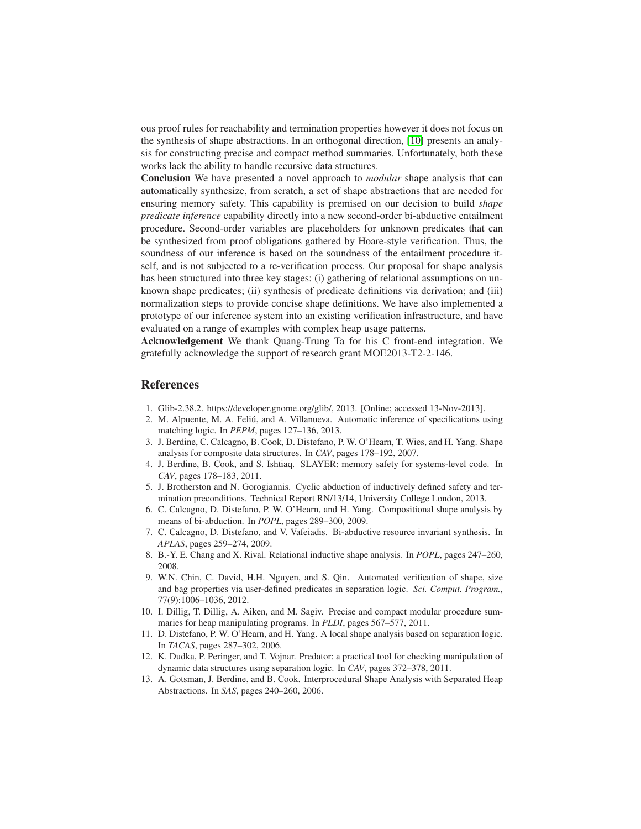ous proof rules for reachability and termination properties however it does not focus on the synthesis of shape abstractions. In an orthogonal direction, [\[10\]](#page-17-12) presents an analysis for constructing precise and compact method summaries. Unfortunately, both these works lack the ability to handle recursive data structures.

Conclusion We have presented a novel approach to *modular* shape analysis that can automatically synthesize, from scratch, a set of shape abstractions that are needed for ensuring memory safety. This capability is premised on our decision to build *shape predicate inference* capability directly into a new second-order bi-abductive entailment procedure. Second-order variables are placeholders for unknown predicates that can be synthesized from proof obligations gathered by Hoare-style verification. Thus, the soundness of our inference is based on the soundness of the entailment procedure itself, and is not subjected to a re-verification process. Our proposal for shape analysis has been structured into three key stages: (i) gathering of relational assumptions on unknown shape predicates; (ii) synthesis of predicate definitions via derivation; and (iii) normalization steps to provide concise shape definitions. We have also implemented a prototype of our inference system into an existing verification infrastructure, and have evaluated on a range of examples with complex heap usage patterns.

Acknowledgement We thank Quang-Trung Ta for his C front-end integration. We gratefully acknowledge the support of research grant MOE2013-T2-2-146.

#### <span id="page-17-4"></span>**References**

- <span id="page-17-8"></span>1. Glib-2.38.2. https://developer.gnome.org/glib/, 2013. [Online; accessed 13-Nov-2013].
- 2. M. Alpuente, M. A. Feliú, and A. Villanueva. Automatic inference of specifications using matching logic. In *PEPM*, pages 127–136, 2013.
- <span id="page-17-6"></span>3. J. Berdine, C. Calcagno, B. Cook, D. Distefano, P. W. O'Hearn, T. Wies, and H. Yang. Shape analysis for composite data structures. In *CAV*, pages 178–192, 2007.
- <span id="page-17-1"></span>4. J. Berdine, B. Cook, and S. Ishtiaq. SLAYER: memory safety for systems-level code. In *CAV*, pages 178–183, 2011.
- <span id="page-17-11"></span>5. J. Brotherston and N. Gorogiannis. Cyclic abduction of inductively defined safety and termination preconditions. Technical Report RN/13/14, University College London, 2013.
- <span id="page-17-2"></span>6. C. Calcagno, D. Distefano, P. W. O'Hearn, and H. Yang. Compositional shape analysis by means of bi-abduction. In *POPL*, pages 289–300, 2009.
- <span id="page-17-7"></span>7. C. Calcagno, D. Distefano, and V. Vafeiadis. Bi-abductive resource invariant synthesis. In *APLAS*, pages 259–274, 2009.
- <span id="page-17-9"></span><span id="page-17-3"></span>8. B.-Y. E. Chang and X. Rival. Relational inductive shape analysis. In *POPL*, pages 247–260, 2008.
- 9. W.N. Chin, C. David, H.H. Nguyen, and S. Qin. Automated verification of shape, size and bag properties via user-defined predicates in separation logic. *Sci. Comput. Program.*, 77(9):1006–1036, 2012.
- <span id="page-17-12"></span>10. I. Dillig, T. Dillig, A. Aiken, and M. Sagiv. Precise and compact modular procedure summaries for heap manipulating programs. In *PLDI*, pages 567–577, 2011.
- <span id="page-17-5"></span>11. D. Distefano, P. W. O'Hearn, and H. Yang. A local shape analysis based on separation logic. In *TACAS*, pages 287–302, 2006.
- <span id="page-17-0"></span>12. K. Dudka, P. Peringer, and T. Vojnar. Predator: a practical tool for checking manipulation of dynamic data structures using separation logic. In *CAV*, pages 372–378, 2011.
- <span id="page-17-10"></span>13. A. Gotsman, J. Berdine, and B. Cook. Interprocedural Shape Analysis with Separated Heap Abstractions. In *SAS*, pages 240–260, 2006.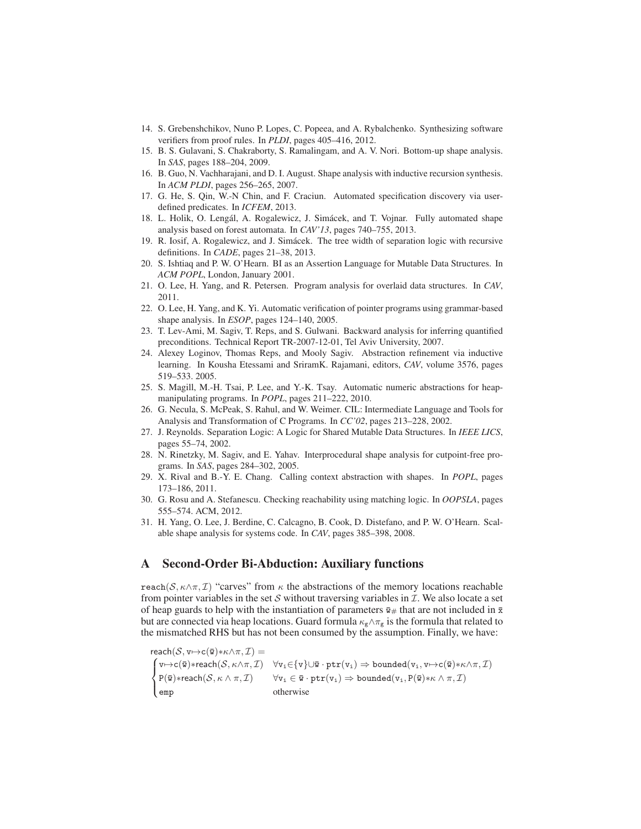- <span id="page-18-17"></span><span id="page-18-7"></span>14. S. Grebenshchikov, Nuno P. Lopes, C. Popeea, and A. Rybalchenko. Synthesizing software verifiers from proof rules. In *PLDI*, pages 405–416, 2012.
- <span id="page-18-3"></span>15. B. S. Gulavani, S. Chakraborty, S. Ramalingam, and A. V. Nori. Bottom-up shape analysis. In *SAS*, pages 188–204, 2009.
- <span id="page-18-11"></span>16. B. Guo, N. Vachharajani, and D. I. August. Shape analysis with inductive recursion synthesis. In *ACM PLDI*, pages 256–265, 2007.
- 17. G. He, S. Qin, W.-N Chin, and F. Craciun. Automated specification discovery via userdefined predicates. In *ICFEM*, 2013.
- <span id="page-18-13"></span>18. L. Holik, O. Lengál, A. Rogalewicz, J. Simácek, and T. Vojnar. Fully automated shape analysis based on forest automata. In *CAV'13*, pages 740–755, 2013.
- <span id="page-18-0"></span>19. R. Iosif, A. Rogalewicz, and J. Simácek. The tree width of separation logic with recursive definitions. In *CADE*, pages 21–38, 2013.
- <span id="page-18-1"></span>20. S. Ishtiaq and P. W. O'Hearn. BI as an Assertion Language for Mutable Data Structures. In *ACM POPL*, London, January 2001.
- <span id="page-18-15"></span><span id="page-18-9"></span>21. O. Lee, H. Yang, and R. Petersen. Program analysis for overlaid data structures. In *CAV*, 2011.
- <span id="page-18-8"></span>22. O. Lee, H. Yang, and K. Yi. Automatic verification of pointer programs using grammar-based shape analysis. In *ESOP*, pages 124–140, 2005.
- 23. T. Lev-Ami, M. Sagiv, T. Reps, and S. Gulwani. Backward analysis for inferring quantified preconditions. Technical Report TR-2007-12-01, Tel Aviv University, 2007.
- <span id="page-18-16"></span>24. Alexey Loginov, Thomas Reps, and Mooly Sagiv. Abstraction refinement via inductive learning. In Kousha Etessami and SriramK. Rajamani, editors, *CAV*, volume 3576, pages 519–533. 2005.
- <span id="page-18-5"></span>25. S. Magill, M.-H. Tsai, P. Lee, and Y.-K. Tsay. Automatic numeric abstractions for heapmanipulating programs. In *POPL*, pages 211–222, 2010.
- <span id="page-18-4"></span>26. G. Necula, S. McPeak, S. Rahul, and W. Weimer. CIL: Intermediate Language and Tools for Analysis and Transformation of C Programs. In *CC'02*, pages 213–228, 2002.
- <span id="page-18-2"></span>27. J. Reynolds. Separation Logic: A Logic for Shared Mutable Data Structures. In *IEEE LICS*, pages 55–74, 2002.
- <span id="page-18-14"></span>28. N. Rinetzky, M. Sagiv, and E. Yahav. Interprocedural shape analysis for cutpoint-free programs. In *SAS*, pages 284–302, 2005.
- <span id="page-18-12"></span>29. X. Rival and B.-Y. E. Chang. Calling context abstraction with shapes. In *POPL*, pages 173–186, 2011.
- <span id="page-18-10"></span>30. G. Rosu and A. Stefanescu. Checking reachability using matching logic. In *OOPSLA*, pages 555–574. ACM, 2012.
- <span id="page-18-6"></span>31. H. Yang, O. Lee, J. Berdine, C. Calcagno, B. Cook, D. Distefano, and P. W. O'Hearn. Scalable shape analysis for systems code. In *CAV*, pages 385–398, 2008.

### A Second-Order Bi-Abduction: Auxiliary functions

reach(S,  $\kappa \wedge \pi$ , I) "carves" from  $\kappa$  the abstractions of the memory locations reachable from pointer variables in the set S without traversing variables in  $\mathcal I$ . We also locate a set of heap guards to help with the instantiation of parameters  $\bar{w}_{\#}$  that are not included in  $\bar{x}$ but are connected via heap locations. Guard formula  $\kappa_{\rm g} \wedge \pi_{\rm g}$  is the formula that related to the mismatched RHS but has not been consumed by the assumption. Finally, we have:

reach $(S, v \mapsto c(\overline{w}) * \kappa \wedge \pi, \mathcal{I}) =$  $\label{eq:1} \begin{pmatrix} \mathtt{v} \mapsto \mathtt{c}(\overline{\mathtt{w}}) * \mathtt{reach}(\mathcal{S}, \kappa \wedge \pi, \mathcal{I}) & \forall \mathtt{v}_i \! \in \! \{\mathtt{v}\} \cup \overline{\mathtt{w}} \cdot \mathtt{ptr}(\mathtt{v}_i) \Rightarrow \mathtt{bounded}(\mathtt{v}_i, \mathtt{v} \!\mapsto \!\mathtt{c}(\overline{\mathtt{w}}) * \kappa \wedge \pi, \mathcal{I}) \end{pmatrix}$  $\int$  $\mathbf{I}$  $P(\bar{w}) * \text{reach}(\mathcal{S}, \kappa \wedge \pi, \mathcal{I}) \qquad \forall v_i \in \bar{w} \cdot \text{ptr}(v_i) \Rightarrow \text{bounded}(v_i, P(\bar{w}) * \kappa \wedge \pi, \mathcal{I})$ emp otherwise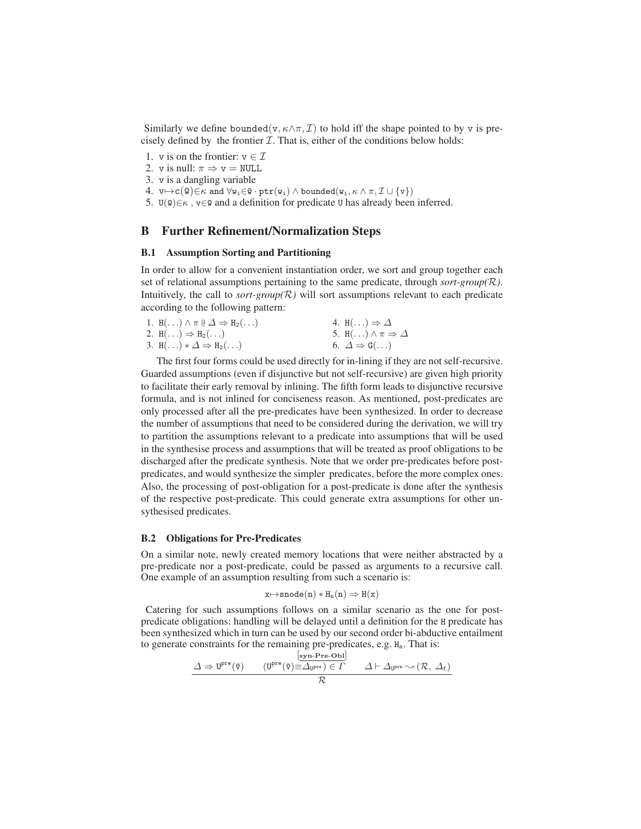Similarly we define bounded(v,  $\kappa \wedge \pi$ ,  $\mathcal{I}$ ) to hold iff the shape pointed to by v is precisely defined by the frontier  $I$ . That is, either of the conditions below holds:

- 1. v is on the frontier:  $v \in \mathcal{I}$
- 2. v is null:  $\pi \Rightarrow v = \text{NULL}$
- 3. v is a dangling variable
- 4.  $v \mapsto c(\overline{w}) \in \kappa$  and  $\forall w_i \in \overline{w} \cdot \text{ptr}(w_i) \land bounded(w_i, \kappa \land \pi, \mathcal{I} \cup \{v\})$
- 5.  $U(\bar{w}) \in \kappa$ ,  $v \in \bar{w}$  and a definition for predicate U has already been inferred.

### <span id="page-19-0"></span>B Further Refinement/Normalization Steps

#### B.1 Assumption Sorting and Partitioning

In order to allow for a convenient instantiation order, we sort and group together each set of relational assumptions pertaining to the same predicate, through *sort-group(*R*)*. Intuitively, the call to *sort-group*( $\mathcal{R}$ ) will sort assumptions relevant to each predicate according to the following pattern:

| 1. H() $\wedge \pi \otimes \Delta \Rightarrow H_2(\ldots)$ | 4. H() $\Rightarrow \Delta$            |
|------------------------------------------------------------|----------------------------------------|
| 2. H() $\Rightarrow$ H <sub>2</sub> ()                     | 5. H() $\wedge \pi \Rightarrow \Delta$ |
| 3. H() $*\Delta \Rightarrow H_2(\ldots)$                   | 6. $\Delta \Rightarrow G(\ldots)$      |

The first four forms could be used directly for in-lining if they are not self-recursive. Guarded assumptions (even if disjunctive but not self-recursive) are given high priority to facilitate their early removal by inlining. The fifth form leads to disjunctive recursive formula, and is not inlined for conciseness reason. As mentioned, post-predicates are only processed after all the pre-predicates have been synthesized. In order to decrease the number of assumptions that need to be considered during the derivation, we will try to partition the assumptions relevant to a predicate into assumptions that will be used in the synthesise process and assumptions that will be treated as proof obligations to be discharged after the predicate synthesis. Note that we order pre-predicates before postpredicates, and would synthesize the simpler predicates, before the more complex ones. Also, the processing of post-obligation for a post-predicate is done after the synthesis of the respective post-predicate. This could generate extra assumptions for other unsythesised predicates.

#### B.2 Obligations for Pre-Predicates

On a similar note, newly created memory locations that were neither abstracted by a pre-predicate nor a post-predicate, could be passed as arguments to a recursive call. One example of an assumption resulting from such a scenario is:

$$
x{\mapsto} {\tt snode}(n) * H_n(n) \Rightarrow H(x)
$$

Catering for such assumptions follows on a similar scenario as the one for postpredicate obligations: handling will be delayed until a definition for the H predicate has been synthesized which in turn can be used by our second order bi-abductive entailment to generate constraints for the remaining pre-predicates, e.g.  $H_n$ . That is:  $\sim$   $\cdot$ 

$$
\Delta \Rightarrow U^{\text{pre}}(\bar{v}) \qquad (U^{\text{pre}}(\bar{v}) \equiv \Delta_{U^{\text{pre}}}) \in \Gamma \qquad \Delta \vdash \Delta_{U^{\text{pre}}} \sim (\mathcal{R}, \ \Delta_{f})
$$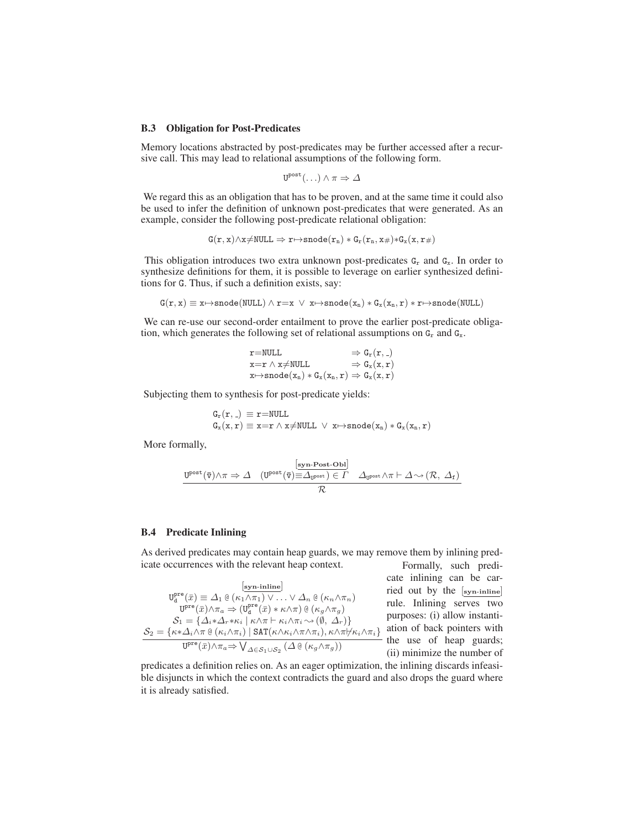#### B.3 Obligation for Post-Predicates

Memory locations abstracted by post-predicates may be further accessed after a recursive call. This may lead to relational assumptions of the following form.

$$
\mathtt{U}^{\mathtt{post}}(\ldots) \land \pi \Rightarrow \Delta
$$

We regard this as an obligation that has to be proven, and at the same time it could also be used to infer the definition of unknown post-predicates that were generated. As an example, consider the following post-predicate relational obligation:

$$
\texttt{G}(r,x) \wedge x \neq \texttt{NULL} \Rightarrow r \mapsto \texttt{snode}(r_n) * \texttt{G}_r(r_n,x\#) * \texttt{G}_x(x,r\#)
$$

This obligation introduces two extra unknown post-predicates  $G_r$  and  $G_x$ . In order to synthesize definitions for them, it is possible to leverage on earlier synthesized definitions for G. Thus, if such a definition exists, say:

 $G(r, x) \equiv x \mapsto \text{mode}(NULL) \wedge r=x \vee x \mapsto \text{mode}(x_n) * G_x(x_n, r) * r \mapsto \text{mode}(NULL)$ 

We can re-use our second-order entailment to prove the earlier post-predicate obligation, which generates the following set of relational assumptions on  $G_r$  and  $G_x$ .

$$
\begin{array}{l}r = \mathbb{NULL} & \Rightarrow \texttt{G}_r(r,.)\\ x = r \land x \neq \mathbb{NULL} & \Rightarrow \texttt{G}_x(x,r)\\ x \mapsto \mathbb{S} \mathbb{node}(x_n) * \texttt{G}_x(x_n,r) \Rightarrow \texttt{G}_x(x,r) \end{array}
$$

Subjecting them to synthesis for post-predicate yields:

$$
\begin{array}{l}G_r(r,.)\,\equiv r\!\!=\!\!\texttt{NULL}\\G_x(x,r)\equiv x\!\!=\!\!r\wedge x\!\neq\!\!\texttt{NULL}\,\vee\,x\!\mapsto\!\texttt{mode}(x_n)*G_x(x_n,r)\end{array}
$$

More formally,

$$
\underline{\textbf{U}^{\text{post}}(\bar{\textbf{v}}) \wedge \pi \Rightarrow \Delta \quad (\textbf{U}^{\text{post}}(\bar{\textbf{v}}) \equiv \Delta_{\text{Upost}}) \in \Gamma \quad \Delta_{\text{Upost}} \wedge \pi \vdash \Delta \simtail (\mathcal{R}, \ \Delta_{\textbf{f}})}{\mathcal{R}}
$$

#### B.4 Predicate Inlining

As derived predicates may contain heap guards, we may remove them by inlining predicate occurrences with the relevant heap context. Formally, such predi-

$$
\mathbf{U}_{\mathbf{d}}^{\text{pre}}(\bar{x}) \equiv \Delta_1 \oplus (\kappa_1 \wedge \pi_1) \vee \ldots \vee \Delta_n \oplus (\kappa_n \wedge \pi_n)
$$
  
\n
$$
\mathbf{U}_{\mathbf{d}}^{\text{pre}}(\bar{x}) \wedge \pi_a \Rightarrow (\mathbf{U}_{\mathbf{d}}^{\text{pre}}(\bar{x}) * \kappa \wedge \pi) \oplus (\kappa_g \wedge \pi_g)
$$
  
\n
$$
\mathcal{S}_1 = \{ \Delta_i * \Delta_r * \kappa_i \mid \kappa \wedge \pi \vdash \kappa_i \wedge \pi_i \sim \langle \emptyset, \Delta_r \rangle \}
$$
  
\n
$$
\mathcal{S}_2 = \{ \kappa * \Delta_i \wedge \pi \oplus (\kappa_i \wedge \pi_i) \mid \text{SAT}(\kappa \wedge \kappa_i \wedge \pi \wedge \pi_i), \kappa \wedge \pi \nmid \kappa_i \wedge \pi_i \}
$$
  
\n
$$
\mathbf{U}^{\text{pre}}(\bar{x}) \wedge \pi_a \Rightarrow \bigvee_{\Delta \in \mathcal{S}_1 \cup \mathcal{S}_2} (\Delta \oplus (\kappa_g \wedge \pi_g))
$$

cate inlining can be carried out by the [syn-inline] rule. Inlining serves two purposes: (i) allow instantiation of back pointers with the use of heap guards; (ii) minimize the number of

predicates a definition relies on. As an eager optimization, the inlining discards infeasible disjuncts in which the context contradicts the guard and also drops the guard where it is already satisfied.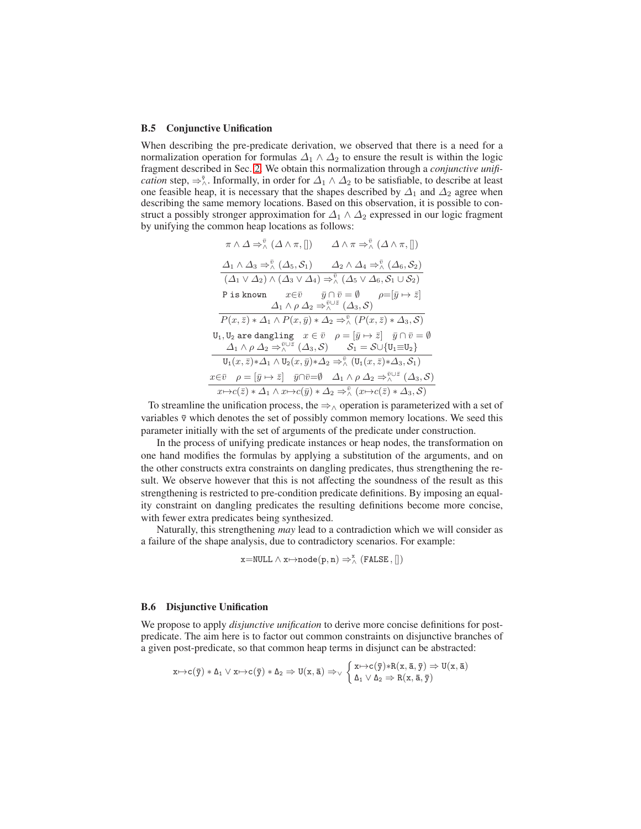#### <span id="page-21-0"></span>B.5 Conjunctive Unification

When describing the pre-predicate derivation, we observed that there is a need for a normalization operation for formulas  $\Delta_1 \wedge \Delta_2$  to ensure the result is within the logic fragment described in Sec. [2.](#page-2-1) We obtain this normalization through a *conjunctive unification* step,  $\Rightarrow^{\bar{v}}_{\wedge}$ . Informally, in order for  $\Delta_1 \wedge \Delta_2$  to be satisfiable, to describe at least one feasible heap, it is necessary that the shapes described by  $\Delta_1$  and  $\Delta_2$  agree when describing the same memory locations. Based on this observation, it is possible to construct a possibly stronger approximation for  $\Delta_1 \wedge \Delta_2$  expressed in our logic fragment by unifying the common heap locations as follows:

$$
\pi \wedge \Delta \Rightarrow_{\wedge}^{\bar{v}} (\Delta \wedge \pi, [] ) \qquad \Delta \wedge \pi \Rightarrow_{\wedge}^{\bar{v}} (\Delta \wedge \pi, [] )
$$
  
\n
$$
\frac{\Delta_1 \wedge \Delta_3 \Rightarrow_{\wedge}^{\bar{v}} (\Delta_5, S_1) \qquad \Delta_2 \wedge \Delta_4 \Rightarrow_{\wedge}^{\bar{v}} (\Delta_6, S_2)}{(\Delta_1 \vee \Delta_2) \wedge (\Delta_3 \vee \Delta_4) \Rightarrow_{\wedge}^{\bar{v}} (\Delta_5 \vee \Delta_6, S_1 \cup S_2)}
$$
  
\nP is known  $x \in \bar{v}$   $\bar{y} \cap \bar{v} = \emptyset$   $\rho = [\bar{y} \mapsto \bar{z}]$   
\n
$$
\frac{\Delta_1 \wedge \rho \Delta_2 \Rightarrow_{\wedge}^{\bar{v} \cup \bar{z}} (\Delta_3, S)}{P(x, \bar{z}) * \Delta_1 \wedge P(x, \bar{y}) * \Delta_2 \Rightarrow_{\wedge}^{\bar{v}} (P(x, \bar{z}) * \Delta_3, S)}
$$
  
\nU<sub>1</sub>, U<sub>2</sub> are danging  $x \in \bar{v}$   $\rho = [\bar{y} \mapsto \bar{z}] \quad \bar{y} \cap \bar{v} = \emptyset$   
\n
$$
\frac{\Delta_1 \wedge \rho \Delta_2 \Rightarrow_{\wedge}^{\bar{v} \cup \bar{z}} (\Delta_3, S)}{U_1(x, \bar{z}) * \Delta_1 \wedge U_2(x, \bar{y}) * \Delta_2 \Rightarrow_{\wedge}^{\bar{v}} (U_1(x, \bar{z}) * \Delta_3, S_1)}
$$
  
\n $x \in \bar{v}$   $\rho = [\bar{y} \mapsto \bar{z}] \quad \bar{y} \cap \bar{v} = \emptyset$   $\Delta_1 \wedge \rho \Delta_2 \Rightarrow_{\wedge}^{\bar{v} \cup \bar{z}} (\Delta_3, S)$   
\n $x \mapsto c(\bar{z}) * \Delta_1 \wedge x \mapsto c(\bar{y}) * \Delta_2 \Rightarrow_{\wedge}^{\bar{v}} (x \mapsto c(\bar{z}) * \Delta_3, S)$ 

To streamline the unification process, the  $\Rightarrow_{\wedge}$  operation is parameterized with a set of variables  $\bar{v}$  which denotes the set of possibly common memory locations. We seed this parameter initially with the set of arguments of the predicate under construction.

In the process of unifying predicate instances or heap nodes, the transformation on one hand modifies the formulas by applying a substitution of the arguments, and on the other constructs extra constraints on dangling predicates, thus strengthening the result. We observe however that this is not affecting the soundness of the result as this strengthening is restricted to pre-condition predicate definitions. By imposing an equality constraint on dangling predicates the resulting definitions become more concise, with fewer extra predicates being synthesized.

Naturally, this strengthening *may* lead to a contradiction which we will consider as a failure of the shape analysis, due to contradictory scenarios. For example:

 $\texttt{x=NULL} \wedge \texttt{x} \mapsto \texttt{node}(\texttt{p}, \texttt{n}) \Rightarrow^\texttt{x}_\wedge (\texttt{FALSE}, [])$ 

#### B.6 Disjunctive Unification

We propose to apply *disjunctive unification* to derive more concise definitions for postpredicate. The aim here is to factor out common constraints on disjunctive branches of a given post-predicate, so that common heap terms in disjunct can be abstracted:

$$
x \mapsto c(\bar y)*\Delta_1 \vee x \mapsto c(\bar y)*\Delta_2 \Rightarrow U(x,\bar a) \Rightarrow \vee \left\{ \begin{aligned} x \mapsto c(\bar y)*R(x,\bar a,\bar y) & \Rightarrow U(x,\bar a) \\ \Delta_1 \vee \Delta_2 & \Rightarrow R(x,\bar a,\bar y) \end{aligned} \right.
$$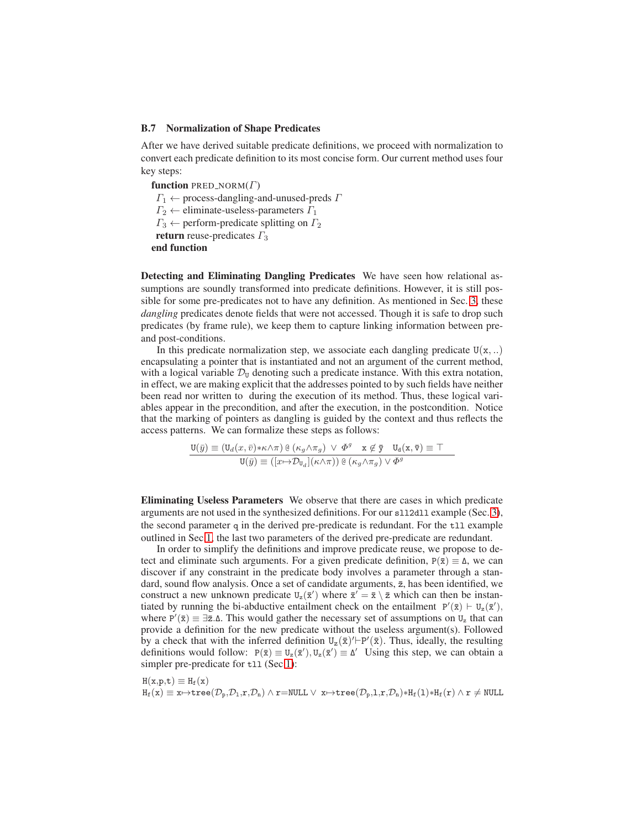#### <span id="page-22-0"></span>B.7 Normalization of Shape Predicates

After we have derived suitable predicate definitions, we proceed with normalization to convert each predicate definition to its most concise form. Our current method uses four key steps:

function PRED\_NORM $(\Gamma)$  $\Gamma_1 \leftarrow$  process-dangling-and-unused-preds  $\Gamma$  $\Gamma_2 \leftarrow$  eliminate-useless-parameters  $\Gamma_1$  $\Gamma_3 \leftarrow$  perform-predicate splitting on  $\Gamma_2$ return reuse-predicates  $\Gamma_3$ end function

Detecting and Eliminating Dangling Predicates We have seen how relational assumptions are soundly transformed into predicate definitions. However, it is still possible for some pre-predicates not to have any definition. As mentioned in Sec. [3,](#page-2-0) these *dangling* predicates denote fields that were not accessed. Though it is safe to drop such predicates (by frame rule), we keep them to capture linking information between preand post-conditions.

In this predicate normalization step, we associate each dangling predicate  $U(x, ...)$ encapsulating a pointer that is instantiated and not an argument of the current method, with a logical variable  $\mathcal{D}_{\text{U}}$  denoting such a predicate instance. With this extra notation, in effect, we are making explicit that the addresses pointed to by such fields have neither been read nor written to during the execution of its method. Thus, these logical variables appear in the precondition, and after the execution, in the postcondition. Notice that the marking of pointers as dangling is guided by the context and thus reflects the access patterns. We can formalize these steps as follows:

$$
\underline{\mathbf{U}(\bar{y})} \equiv (\mathbf{U}_d(x, \bar{v}) \ast \kappa \wedge \pi) \circ (\kappa_g \wedge \pi_g) \vee \Phi^g \quad \mathbf{x} \notin \bar{\mathbf{y}} \quad \mathbf{U}_d(\mathbf{x}, \bar{\mathbf{v}}) \equiv \top
$$
  

$$
\mathbf{U}(\bar{y}) \equiv ([x \mapsto \mathcal{D}_{\mathbf{U}_d}](\kappa \wedge \pi)) \circ (\kappa_g \wedge \pi_g) \vee \Phi^g
$$

Eliminating Useless Parameters We observe that there are cases in which predicate arguments are not used in the synthesized definitions. For our sll2dll example (Sec. [3\)](#page-2-0), the second parameter  $q$  in the derived pre-predicate is redundant. For the  $t11$  example outlined in Sec[.1,](#page-0-0) the last two parameters of the derived pre-predicate are redundant.

In order to simplify the definitions and improve predicate reuse, we propose to detect and eliminate such arguments. For a given predicate definition,  $P(\bar{x}) \equiv \Delta$ , we can discover if any constraint in the predicate body involves a parameter through a standard, sound flow analysis. Once a set of candidate arguments,  $\bar{z}$ , has been identified, we construct a new unknown predicate  $U_z(\bar{x}')$  where  $\bar{x}' = \bar{x} \setminus \bar{z}$  which can then be instantiated by running the bi-abductive entailment check on the entailment  $P'(\bar{x}) \vdash U_z(\bar{x}'),$ where  $P'(\bar{x}) \equiv \exists \bar{z} \Delta$ . This would gather the necessary set of assumptions on  $U_z$  that can provide a definition for the new predicate without the useless argument(s). Followed by a check that with the inferred definition  $U_z(\bar{x})' \rightarrow P'(\bar{x})$ . Thus, ideally, the resulting definitions would follow:  $P(\bar{x}) \equiv U_z(\bar{x}'), U_z(\bar{x}') \equiv \Delta'$  Using this step, we can obtain a simpler pre-predicate for t11 (Sec [1\)](#page-0-0):

$$
\begin{array}{l} \mathtt{H}(x,p,t) \equiv \mathtt{H}_f(x) \\ \mathtt{H}_f(x) \equiv x \mapsto \mathtt{tree}(\mathcal{D}_p,\mathcal{D}_1,r,\mathcal{D}_n) \wedge r = \mathtt{NULL} \vee \ x \mapsto \mathtt{tree}(\mathcal{D}_p,1,r,\mathcal{D}_n) \ast \mathtt{H}_f(1) \ast \mathtt{H}_f(r) \wedge r \neq \mathtt{NULL} \end{array}
$$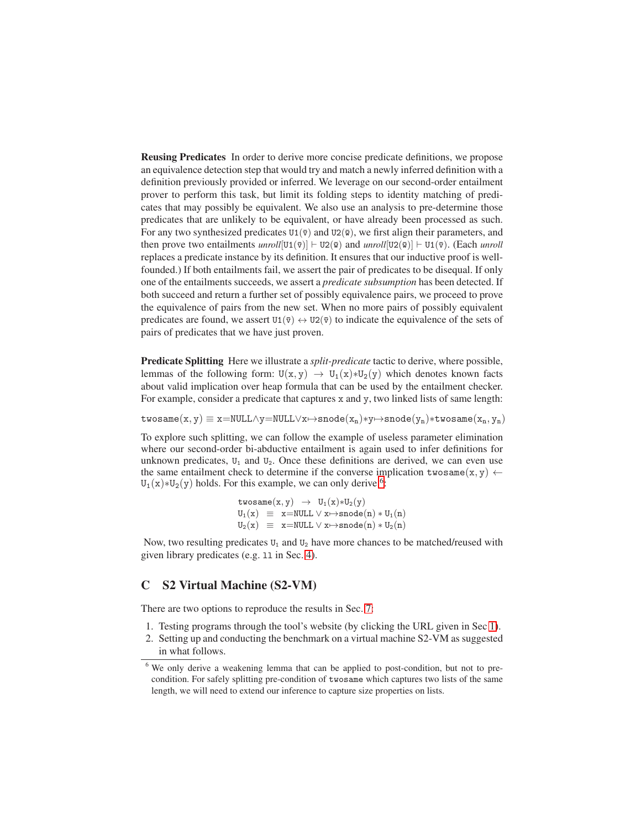Reusing Predicates In order to derive more concise predicate definitions, we propose an equivalence detection step that would try and match a newly inferred definition with a definition previously provided or inferred. We leverage on our second-order entailment prover to perform this task, but limit its folding steps to identity matching of predicates that may possibly be equivalent. We also use an analysis to pre-determine those predicates that are unlikely to be equivalent, or have already been processed as such. For any two synthesized predicates  $U1(\bar{v})$  and  $U2(\bar{w})$ , we first align their parameters, and then prove two entailments *unroll*[U1( $\bar{v}$ )] ⊢ U2( $\bar{w}$ ) and *unroll*[U2( $\bar{w}$ )] ⊢ U1( $\bar{v}$ ). (Each *unroll* replaces a predicate instance by its definition. It ensures that our inductive proof is wellfounded.) If both entailments fail, we assert the pair of predicates to be disequal. If only one of the entailments succeeds, we assert a *predicate subsumption* has been detected. If both succeed and return a further set of possibly equivalence pairs, we proceed to prove the equivalence of pairs from the new set. When no more pairs of possibly equivalent predicates are found, we assert  $U1(\bar{v}) \leftrightarrow U2(\bar{v})$  to indicate the equivalence of the sets of pairs of predicates that we have just proven.

Predicate Splitting Here we illustrate a *split-predicate* tactic to derive, where possible, lemmas of the following form:  $U(x, y) \rightarrow U_1(x) * U_2(y)$  which denotes known facts about valid implication over heap formula that can be used by the entailment checker. For example, consider a predicate that captures x and y, two linked lists of same length:

 $t$ wosame $(x, y) \equiv x = NULL \wedge y = NULL \vee x \mapsto \texttt{mode}(x_n) * y \mapsto \texttt{mode}(y_n) * tw \circ \texttt{same}(x_n, y_n)$ 

To explore such splitting, we can follow the example of useless parameter elimination where our second-order bi-abductive entailment is again used to infer definitions for unknown predicates,  $U_1$  and  $U_2$ . Once these definitions are derived, we can even use the same entailment check to determine if the converse implication two same $(x, y) \leftarrow$  $U_1(x)*U_2(y)$  holds. For this example, we can only derive <sup>[6](#page-23-1)</sup>:

$$
\begin{array}{rcl} \mathtt{twosame}(x,y) & \rightarrow & U_1(x)*U_2(y) \\ U_1(x) & \equiv & x = \mathtt{NULL} \vee x \mapsto \mathtt{snode}(n)*U_1(n) \\ U_2(x) & \equiv & x = \mathtt{NULL} \vee x \mapsto \mathtt{snode}(n)*U_2(n) \end{array}
$$

Now, two resulting predicates  $U_1$  and  $U_2$  have more chances to be matched/reused with given library predicates (e.g. ll in Sec. [4\)](#page-6-0).

#### <span id="page-23-0"></span>C S2 Virtual Machine (S2-VM)

There are two options to reproduce the results in Sec. [7:](#page-14-2)

- 1. Testing programs through the tool's website (by clicking the URL given in Sec [1\)](#page-0-0).
- 2. Setting up and conducting the benchmark on a virtual machine S2-VM as suggested in what follows.

<span id="page-23-1"></span><sup>&</sup>lt;sup>6</sup> We only derive a weakening lemma that can be applied to post-condition, but not to precondition. For safely splitting pre-condition of twosame which captures two lists of the same length, we will need to extend our inference to capture size properties on lists.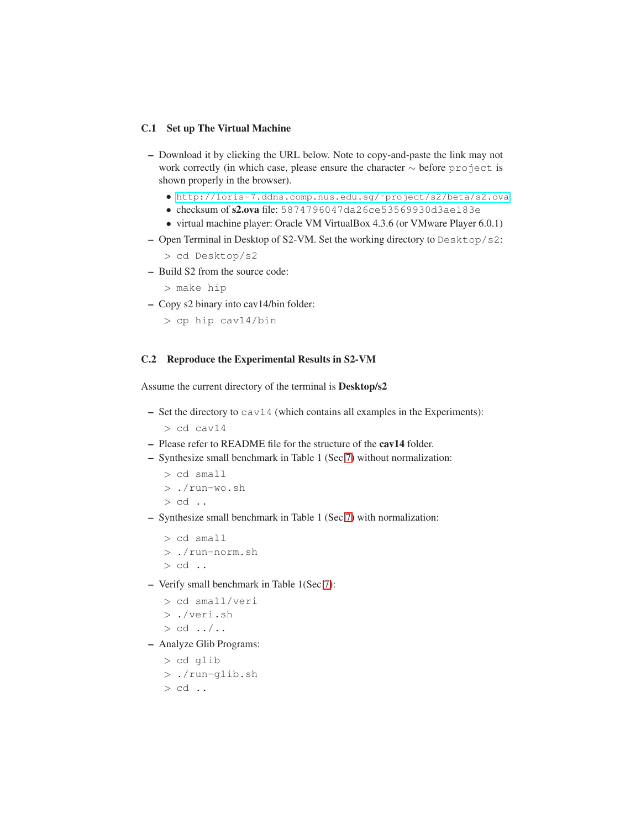#### C.1 Set up The Virtual Machine

- Download it by clicking the URL below. Note to copy-and-paste the link may not work correctly (in which case, please ensure the character ∼ before project is shown properly in the browser).
	- [http://loris-7.ddns.comp.nus.edu.sg/˜project/s2/beta/s2.ova](http://loris-7.ddns.comp.nus.edu.sg/~project/s2/beta/s2.ova)
	- checksum of s2.ova file: 5874796047da26ce53569930d3ae183e
	- virtual machine player: Oracle VM VirtualBox 4.3.6 (or VMware Player 6.0.1)
- Open Terminal in Desktop of S2-VM. Set the working directory to Desktop/s2:

> cd Desktop/s2

– Build S2 from the source code:

> make hip

– Copy s2 binary into cav14/bin folder:

```
> cp hip cav14/bin
```
#### C.2 Reproduce the Experimental Results in S2-VM

Assume the current directory of the terminal is Desktop/s2

 $-$  Set the directory to  $cav14$  (which contains all examples in the Experiments):

 $>$  cd cav $14$ 

- Please refer to README file for the structure of the cav14 folder.
- Synthesize small benchmark in Table 1 (Sec [7\)](#page-14-2) without normalization:
	- > cd small

$$
>./run-wo.sh
$$

> cd ..

- Synthesize small benchmark in Table 1 (Sec [7\)](#page-14-2) with normalization:
	- > cd small
	- > ./run-norm.sh
	- > cd ..
- Verify small benchmark in Table 1(Sec [7\)](#page-14-2):

```
> cd small/veri
> ./veri.sh
```
- $>$  cd  $\ldots/$ ..
- Analyze Glib Programs:
	- > cd glib
	- > ./run-glib.sh
	- $>$  cd  $\ldots$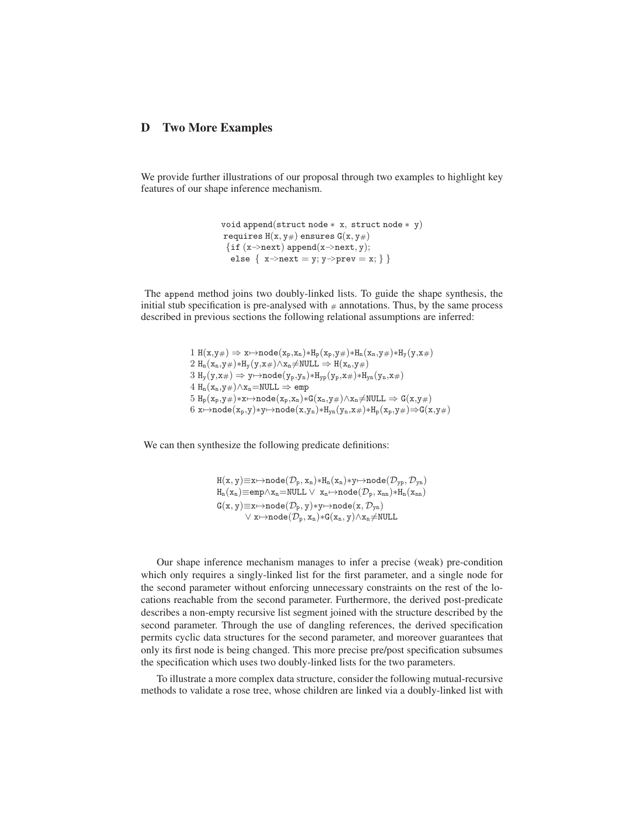# D Two More Examples

We provide further illustrations of our proposal through two examples to highlight key features of our shape inference mechanism.

```
void append(struct node ∗ x, struct node ∗ y)
requires H(x, y#) ensures G(x, y#){if (x \rightarrow next) append(x \rightarrow next, y);
  else \{ x \rightarrow next = y; y \rightarrow prev = x; \}
```
The append method joins two doubly-linked lists. To guide the shape synthesis, the initial stub specification is pre-analysed with  $#$  annotations. Thus, by the same process described in previous sections the following relational assumptions are inferred:

> 1 H(x,y#)  $\Rightarrow$  x $\mapsto$ node(x<sub>p</sub>,x<sub>n</sub>)\*H<sub>p</sub>(x<sub>p</sub>,y#)\*H<sub>n</sub>(x<sub>n</sub>,y#)\*H<sub>y</sub>(y,x#)  $2 H_n(x_n,y#)*H_y(y,x#)\wedge x_n \neq NULL \Rightarrow H(x_n,y#)$  $3 H_y(y, x \#) \Rightarrow y \mapsto \text{node}(y_p, y_n) * H_{vp}(y_p, x \#) * H_{yn}(y_n, x \#)$  $4 H_n(x_n,y_{\#}) \wedge x_n = NULL \Rightarrow$  emp  $5~\text{H}_\text{p}(\text{x}_\text{p},\text{y} \#) * \text{x} \mapsto \text{node}(\text{x}_\text{p},\text{x}_\text{n}) * \text{G}(\text{x}_\text{n},\text{y} \#) \wedge \text{x}_\text{n} \neq \text{NULL} \Rightarrow \text{G}(\text{x},\text{y} \#)$  $6 x \mapsto node(x_p,y) * y \mapsto node(x,y_n) * H_{yn}(y_n,x#)*H_p(x_p,y#) \Rightarrow G(x,y#)$

We can then synthesize the following predicate definitions:

$$
\begin{array}{l} \texttt{H}(x,y) \!\!\equiv\!\! x \!\!\mapsto \!\! \texttt{node}(\mathcal{D}_p,x_n) \!\ast\!\! \texttt{H}_n(x_n) \!\ast\!\! y \!\!\mapsto \!\! \texttt{node}(\mathcal{D}_{yp}, \mathcal{D}_{yn}) \\ \texttt{H}_n(x_n) \!\!\equiv\!\! \texttt{emp} \!\wedge\!\! x_n \!\!\!=\!\! \texttt{NULL} \vee\ x_n \!\!\mapsto \!\! \texttt{node}(\mathcal{D}_p,x_{nn}) \!\ast\!\! \texttt{H}_n(x_{nn}) \\ \texttt{G}(x,y) \!\!\equiv\!\! x \!\!\mapsto \!\! \texttt{node}(\mathcal{D}_p,y) \!\ast\!\! y \!\!\mapsto \!\! \texttt{node}(x,\mathcal{D}_{yn}) \\ \hspace{5mm} \vee \; x \!\!\mapsto \!\! \texttt{node}(\mathcal{D}_p,x_n) \!\ast\!\! \texttt{G}(x_n,y) \!\wedge\! x_n \!\!\ne \!\! \texttt{NULL} \end{array}
$$

Our shape inference mechanism manages to infer a precise (weak) pre-condition which only requires a singly-linked list for the first parameter, and a single node for the second parameter without enforcing unnecessary constraints on the rest of the locations reachable from the second parameter. Furthermore, the derived post-predicate describes a non-empty recursive list segment joined with the structure described by the second parameter. Through the use of dangling references, the derived specification permits cyclic data structures for the second parameter, and moreover guarantees that only its first node is being changed. This more precise pre/post specification subsumes the specification which uses two doubly-linked lists for the two parameters.

To illustrate a more complex data structure, consider the following mutual-recursive methods to validate a rose tree, whose children are linked via a doubly-linked list with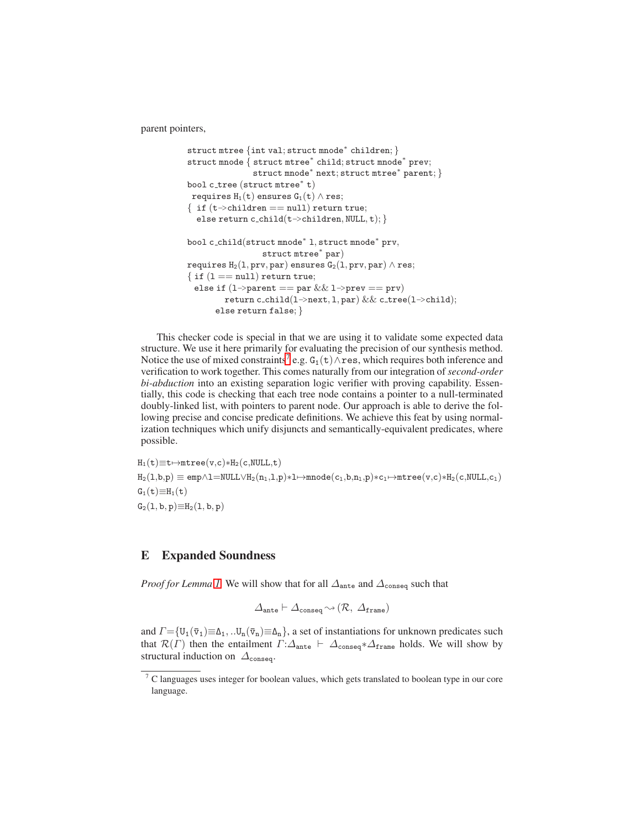parent pointers,

```
struct mtree {int val; struct mnode<sup>*</sup> children; }
struct mnode { struct mtree∗
child; struct mnode∗
prev;
                 struct mnode∗
next; struct mtree∗
parent; }
bool c_tree (struct mtree<sup>*</sup> t)
requires H_1(t) ensures G_1(t) \wedge res;
\{ if (t\rightarrowchildren == null) return true;
  else return c_child(t->children, NULL, t); }
bool c child(struct mnode∗
l, struct mnode∗
prv,
                   struct mtree<sup>*</sup> par)
requires H_2(1, prv, par) ensures G_2(1, prv, par) \wedge res;\{ if (1 == null) return true;
 else if (l->parent == par && l->prev == prv)
         return c_child(l->next, l, par) && c_tree(l->child);
       else return false; }
```
This checker code is special in that we are using it to validate some expected data structure. We use it here primarily for evaluating the precision of our synthesis method. Notice the use of mixed constraints<sup>[7](#page-26-0)</sup> e.g.  $G_1(t) \wedge res$ , which requires both inference and verification to work together. This comes naturally from our integration of *second-order bi-abduction* into an existing separation logic verifier with proving capability. Essentially, this code is checking that each tree node contains a pointer to a null-terminated doubly-linked list, with pointers to parent node. Our approach is able to derive the following precise and concise predicate definitions. We achieve this feat by using normalization techniques which unify disjuncts and semantically-equivalent predicates, where possible.

 $H_1(t) \equiv t \mapsto m \text{tree}(v,c) * H_2(c, NULL, t)$  $H_2(1,b,p) \equiv \text{emp} \wedge 1 = \text{NULL} \vee H_2(n_1,1,p) * 1 \mapsto \text{mnode}(c_1,b,n_1,p) * c_1 \mapsto \text{mtree}(v,c) * H_2(c,\text{NULL},c_1)$  $G_1(t) \equiv H_1(t)$  $\texttt{G}_2(\texttt{l},\texttt{b},\texttt{p})\text{ }\equiv \texttt{H}_2(\texttt{l},\texttt{b},\texttt{p})$ 

# E Expanded Soundness

*Proof for Lemma [1](#page-13-0)* We will show that for all  $\Delta$ <sub>ante</sub> and  $\Delta$ <sub>conseq</sub> such that

$$
\varDelta_{\text{ante}} \vdash \varDelta_{\text{conseq}} \!\sim\! (\mathcal{R},\ \varDelta_{\text{frame}})
$$

and  $\Gamma = \{U_1(\bar{v}_1) \equiv \Delta_1, ... U_n(\bar{v}_n) \equiv \Delta_n\}$ , a set of instantiations for unknown predicates such that  $\mathcal{R}(\Gamma)$  then the entailment  $\Gamma:\Delta_{\text{ante}} \vdash \Delta_{\text{conseq}} * \Delta_{\text{frame}}$  holds. We will show by structural induction on  $\Delta_{\text{conseq}}$ .

<span id="page-26-0"></span> $7$  C languages uses integer for boolean values, which gets translated to boolean type in our core language.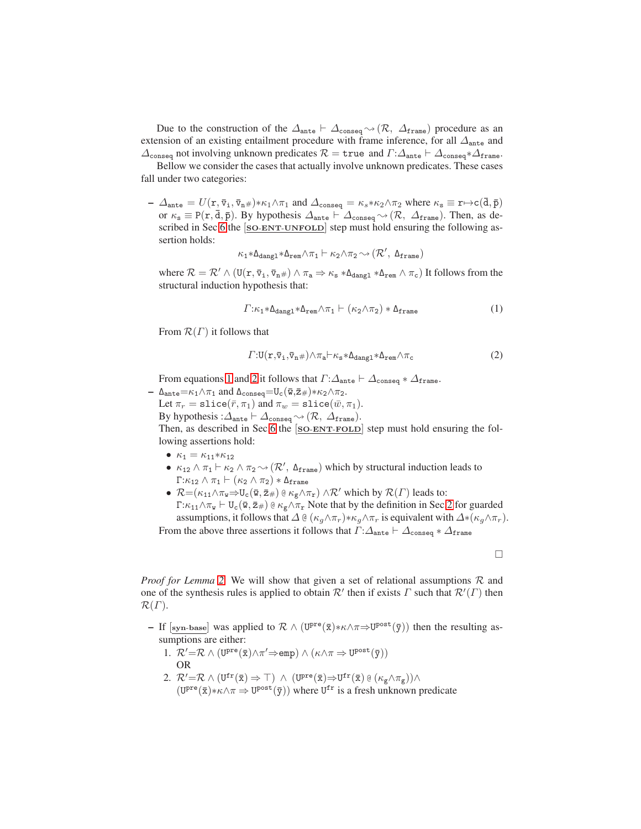Due to the construction of the  $\Delta_{\text{ante}} \vdash \Delta_{\text{conseq}} \leadsto (\mathcal{R}, \Delta_{\text{frame}})$  procedure as an extension of an existing entailment procedure with frame inference, for all  $\Delta$ <sub>ante</sub> and  $\Delta_{\text{conseq}}$  not involving unknown predicates  $\mathcal{R} = \text{true}$  and  $\Gamma : \Delta_{\text{ante}} \vdash \Delta_{\text{conseq}} * \Delta_{\text{frame}}$ .

Bellow we consider the cases that actually involve unknown predicates. These cases fall under two categories:

 $-\Delta_{\text{ante}} = U(\mathbf{r}, \bar{\mathbf{v}}_{\mathbf{i}}, \bar{\mathbf{v}}_{\mathbf{n}}*) \times \kappa_1 \wedge \pi_1$  and  $\Delta_{\text{conseq}} = \kappa_s \times \kappa_2 \wedge \pi_2$  where  $\kappa_s \equiv \mathbf{r} \mapsto c(\bar{\mathbf{d}}, \bar{\mathbf{p}})$ or  $\kappa_s \equiv P(r, \bar{d}, \bar{p})$ . By hypothesis  $\Delta_{\text{ante}} \vdash \Delta_{\text{conseq}} \sim (\mathcal{R}, \Delta_{\text{frame}})$ . Then, as de-scribed in Sec[.6](#page-13-1) the [SO-ENT-UNFOLD] step must hold ensuring the following assertion holds:

$$
\kappa_1\! \mathbf{*}\! \Delta_{\mathrm{dang}1}\! \mathbf{*}\! \Delta_{\mathrm{rem}}\! \wedge\! \pi_1 \vdash \kappa_2 \! \wedge\! \pi_2 \! \leadsto \! (\mathcal{R}',\; \Delta_{\mathrm{frame}})
$$

where  $\mathcal{R} = \mathcal{R}' \wedge (U(r, \bar{v}_i, \bar{v}_{n})) \wedge \pi_a \Rightarrow \kappa_s * \Delta_{\text{dangl}} * \Delta_{\text{rem}} \wedge \pi_c)$  It follows from the structural induction hypothesis that:

<span id="page-27-0"></span>
$$
\Gamma: \kappa_1 * \Delta_{\text{dang1}} * \Delta_{\text{rem}} \wedge \pi_1 \vdash (\kappa_2 \wedge \pi_2) * \Delta_{\text{frame}} \tag{1}
$$

From  $\mathcal{R}(\Gamma)$  it follows that

<span id="page-27-1"></span>
$$
\Gamma: U(\mathbf{r}, \overline{\mathbf{v}}_1, \overline{\mathbf{v}}_n \#) \wedge \pi_a \vdash \kappa_s * \Delta_{\text{dang1}} * \Delta_{\text{rem}} \wedge \pi_c \tag{2}
$$

From equations [1](#page-27-0) and [2](#page-27-1) it follows that  $\Gamma: \Delta_{\text{ante}} \vdash \Delta_{\text{conseq}} * \Delta_{\text{frame}}$ .

–  $\Delta_{\text{ante}} = \kappa_1 \wedge \pi_1$  and  $\Delta_{\text{conseq}} = U_c(\bar{w}, \bar{z}) \ast \kappa_2 \wedge \pi_2$ . Let  $\pi_r = \text{slice}(\bar{r}, \pi_1)$  and  $\pi_w = \text{slice}(\bar{w}, \pi_1)$ . By hypothesis : $\Delta_{\text{ante}} \vdash \Delta_{\text{conseq}} \rightsquigarrow (\mathcal{R}, \ \Delta_{\text{frame}}).$ Then, as described in Sec[.6](#page-13-1) the [SO-ENT-FOLD] step must hold ensuring the fol-

lowing assertions hold:

- $\kappa_1 = \kappa_{11} * \kappa_{12}$
- $\kappa_{12} \wedge \pi_1 \vdash \kappa_2 \wedge \pi_2 \leadsto (\mathcal{R}', \Delta_{\text{frame}})$  which by structural induction leads to  $\Gamma: \kappa_{12} \wedge \pi_1 \vdash (\kappa_2 \wedge \pi_2) * \Delta_{\text{frame}}$
- $\mathcal{R} = (\kappa_{11} \wedge \pi_w \Rightarrow U_c(\overline{w}, \overline{z}_\#) \circ \kappa_g \wedge \pi_r) \wedge \mathcal{R}'$  which by  $\mathcal{R}(\Gamma)$  leads to:  $\Gamma:\kappa_{11}\wedge\pi_{w}\vdash U_{c}(\bar{w},\bar{z})\otimes\kappa_{g}\wedge\pi_{r}$  Note that by the definition in Sec[.2](#page-2-1) for guarded assumptions, it follows that  $\Delta \mathfrak{g}(\kappa_g \wedge \pi_r) * \kappa_g \wedge \pi_r$  is equivalent with  $\Delta * (\kappa_g \wedge \pi_r)$ .

From the above three assertions it follows that  $\Gamma: \Delta_{\text{ante}} \vdash \Delta_{\text{conseq}} * \Delta_{\text{frame}}$ 

 $\Box$ 

*Proof for Lemma* [2](#page-13-2) We will show that given a set of relational assumptions  $R$  and one of the synthesis rules is applied to obtain  $\mathcal{R}'$  then if exists  $\Gamma$  such that  $\mathcal{R}'(\Gamma)$  then  $\mathcal{R}(\Gamma)$ .

- If [syn-base] was applied to  $\mathcal{R} \wedge (\mathbf{U}^{\text{pre}}(\bar{\mathbf{x}}) * \kappa \wedge \pi \Rightarrow \mathbf{U}^{\text{post}}(\bar{\mathbf{y}}))$  then the resulting assumptions are either:
	- $1. \;\; \mathcal{R}'\mathop{=}\mathcal{R} \wedge (\mathtt{U^{pre}}(\bar{\mathtt{x}}) \wedge \pi' \mathop{\Rightarrow} \mathtt{emp}) \wedge (\kappa \wedge \pi \Rightarrow \mathtt{U^{post}}(\bar{\mathtt{y}}))$ OR
	- 2.  $\mathcal{R}' = \mathcal{R} \wedge (\mathbf{U}^{\mathbf{fr}}(\overline{\mathbf{x}}) \Rightarrow \top) \wedge (\mathbf{U}^{\mathbf{pre}}(\overline{\mathbf{x}}) \Rightarrow \mathbf{U}^{\mathbf{fr}}(\overline{\mathbf{x}}) \circ (\kappa_{\mathbf{g}} \wedge \pi_{\mathbf{g}})) \wedge$  $(\mathbf{U}^{\text{pre}}(\bar{\mathbf{x}}) * \kappa \wedge \pi \Rightarrow \mathbf{U}^{\text{post}}(\bar{\mathbf{y}}))$  where  $\mathbf{U}^{\text{fr}}$  is a fresh unknown predicate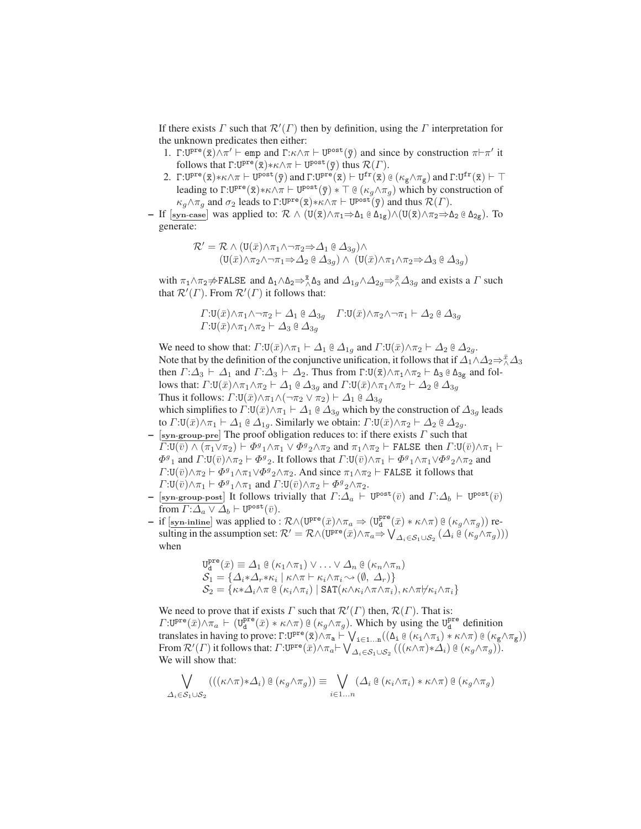If there exists  $\Gamma$  such that  $\mathcal{R}'(\Gamma)$  then by definition, using the  $\Gamma$  interpretation for the unknown predicates then either:

- 1. Γ:U<sup>pre</sup>( $\bar{x}$ )  $\wedge \pi'$   $\vdash$  emp and  $\Gamma: \kappa \wedge \pi \vdash$  U<sup>post</sup>( $\bar{y}$ ) and since by construction  $\pi \vdash \pi'$  it follows that  $\Gamma: U^{\text{pre}}(\bar{x}) * \kappa \wedge \pi \vdash U^{\text{post}}(\bar{y})$  thus  $\mathcal{R}(\Gamma)$ .
- 2.  $\Gamma: U^{\text{pre}}(\bar{x}) \ast \kappa \wedge \pi \vdash U^{\text{post}}(\bar{y})$  and  $\Gamma: U^{\text{pre}}(\bar{x}) \vdash U^{\text{fr}}(\bar{x}) \circ (\kappa_{g} \wedge \pi_{g})$  and  $\Gamma: U^{\text{fr}}(\bar{x}) \vdash \top$ leading to  $\Gamma: U^{\text{pre}}(\bar{x}) \times \kappa \wedge \pi \vdash U^{\text{post}}(\bar{y}) \times \top \mathfrak{g} (\kappa_g \wedge \pi_g)$  which by construction of  $\kappa_g \wedge \pi_g$  and  $\sigma_2$  leads to  $\Gamma: U^{\text{pre}}(\bar{x}) \ast \kappa \wedge \pi \vdash U^{\text{post}}(\bar{y})$  and thus  $\mathcal{R}(\Gamma)$ .
- If  $[syn-case]$  was applied to:  $\mathcal{R} \wedge (U(\bar{x}) \wedge \pi_1 \Rightarrow \Delta_1 \circ \Delta_{1g}) \wedge (U(\bar{x}) \wedge \pi_2 \Rightarrow \Delta_2 \circ \Delta_{2g})$ . To generate:

$$
\begin{array}{l} {\mathcal R}' = {\mathcal R} \wedge (\mathtt{U}(\bar{x}) \wedge \pi_1 \wedge \neg \pi_2 {\Rightarrow} \varDelta_1 \mathrel{\mathop{\scriptstyle\mathrm{d}}\nolimits} \varDelta_{3g}) \wedge \\ (\mathtt{U}(\bar{x}) \wedge \pi_2 \wedge \neg \pi_1 {\Rightarrow} \varDelta_2 \mathrel{\mathop{\scriptstyle\mathrm{d}}\nolimits} \varDelta_{3g}) \wedge \ (\mathtt{U}(\bar{x}) \wedge \pi_1 \wedge \pi_2 {\Rightarrow} \varDelta_3 \mathrel{\mathop{\scriptstyle\mathrm{d}}\nolimits} \varDelta_{3g}) \end{array}
$$

with  $\pi_1 \wedge \pi_2 \neq \text{FALSE}$  and  $\Delta_1 \wedge \Delta_2 \Rightarrow_{\wedge}^{\bar{x}} \Delta_3$  and  $\Delta_{1g} \wedge \Delta_{2g} \Rightarrow_{\wedge}^{\bar{x}} \Delta_{3g}$  and exists a  $\Gamma$  such that  $\mathcal{R}'(\Gamma)$ . From  $\mathcal{R}'(\Gamma)$  it follows that:

$$
\Gamma: U(\bar{x}) \wedge \pi_1 \wedge \neg \pi_2 \vdash \Delta_1 \stackrel{\alpha}{\otimes} \Delta_{3g} \quad \Gamma: U(\bar{x}) \wedge \pi_2 \wedge \neg \pi_1 \vdash \Delta_2 \stackrel{\alpha}{\otimes} \Delta_{3g}
$$
  

$$
\Gamma: U(\bar{x}) \wedge \pi_1 \wedge \pi_2 \vdash \Delta_3 \stackrel{\alpha}{\otimes} \Delta_{3g}
$$

We need to show that:  $\Gamma: U(\bar{x}) \wedge \pi_1 \vdash \Delta_1 \otimes \Delta_{1g}$  and  $\Gamma: U(\bar{x}) \wedge \pi_2 \vdash \Delta_2 \otimes \Delta_{2g}$ . Note that by the definition of the conjunctive unification, it follows that if  $\Delta_1 \wedge \Delta_2 \Rightarrow \bar{\Lambda} \Delta_3$ then  $\Gamma: \Delta_3 \vdash \Delta_1$  and  $\Gamma: \Delta_3 \vdash \Delta_2$ . Thus from  $\Gamma: \text{U}(\bar{x}) \wedge \pi_1 \wedge \pi_2 \vdash \Delta_3 \otimes \Delta_{3g}$  and follows that:  $\Gamma: U(\bar{x}) \wedge \pi_1 \wedge \pi_2 \vdash \Delta_1 \otimes \Delta_{3g}$  and  $\Gamma: U(\bar{x}) \wedge \pi_1 \wedge \pi_2 \vdash \Delta_2 \otimes \Delta_{3g}$ Thus it follows:  $\Gamma:U(\bar{x})\wedge\pi_1\wedge(\neg\pi_2\vee\pi_2)\vdash \Delta_1\otimes\Delta_{3q}$ which simplifies to  $\Gamma: U(\bar{x}) \wedge \pi_1 \vdash \Delta_1 \otimes \Delta_{3q}$  which by the construction of  $\Delta_{3q}$  leads to  $\Gamma: U(\bar{x}) \wedge \pi_1 \vdash \Delta_1 \otimes \Delta_{1q}$ . Similarly we obtain:  $\Gamma: U(\bar{x}) \wedge \pi_2 \vdash \Delta_2 \otimes \Delta_{2q}$ .

- $-$  [syn-group-pre] The proof obligation reduces to: if there exists  $\Gamma$  such that  $\Gamma:U(\bar{v})\wedge (\pi_1\vee\pi_2)\vdash \Phi^g\chi_1\wedge\pi_1\vee\Phi^g\chi_2\wedge\pi_2$  and  $\pi_1\wedge\pi_2\vdash$  FALSE then  $\Gamma:U(\bar{v})\wedge\pi_1\vdash$  $\Phi^g{}_1$  and  $\Gamma: U(\bar{v}) \wedge \pi_2 \vdash \Phi^g{}_2$ . It follows that  $\Gamma: U(\bar{v}) \wedge \pi_1 \vdash \Phi^g{}_1 \wedge \pi_1 \vee \Phi^g{}_2 \wedge \pi_2$  and  $\Gamma: U(\bar{v}) \wedge \pi_2 \vdash \Phi^g \wedge \pi_1 \vee \Phi^g \wedge \pi_2$ . And since  $\pi_1 \wedge \pi_2 \vdash$  FALSE it follows that  $\Gamma:\mathsf{U}(\bar{v})\wedge\pi_1\vdash \Phi^g{}_1\wedge\pi_1$  and  $\Gamma:\mathsf{U}(\bar{v})\wedge\pi_2\vdash \Phi^g{}_2\wedge\pi_2.$
- $-$  [syn-group-post] It follows trivially that  $\Gamma: \Delta_a \vdash U^{post}(\bar{v})$  and  $\Gamma: \Delta_b \vdash U^{post}(\bar{v})$ from  $\Gamma: \Delta_a \vee \Delta_b \vdash U^{\text{post}}(\bar{v}).$
- if  $[\underline{\text{syn-inline}}]$  was applied to :  $\mathcal{R} \wedge (\mathbf{U}^{\text{pre}}(\bar{x}) \wedge \pi_a \Rightarrow (\mathbf{U}^{\text{pre}}_d(\bar{x}) * \kappa \wedge \pi) \circ (\kappa_g \wedge \pi_g))$  resulting in the assumption set:  $\mathcal{R}' = \mathcal{R} \wedge (\mathbf{U}^{\text{pre}}(\bar{x}) \wedge \pi_a \Rightarrow \bigvee_{\Delta_i \in \mathcal{S}_1 \cup \mathcal{S}_2} (\Delta_i \stackrel{\circ}{\mathfrak{g}} (\kappa_g \wedge \pi_g)))$ when

$$
U_d^{\text{pre}}(\bar{x}) \equiv \Delta_1 \circ (\kappa_1 \wedge \pi_1) \vee \ldots \vee \Delta_n \circ (\kappa_n \wedge \pi_n)
$$
  
\n
$$
S_1 = \{ \Delta_i * \Delta_r * \kappa_i \mid \kappa \wedge \pi \vdash \kappa_i \wedge \pi_i \sim (\emptyset, \Delta_r) \}
$$
  
\n
$$
S_2 = \{ \kappa * \Delta_i \wedge \pi \circ (\kappa_i \wedge \pi_i) \mid \text{SAT}(\kappa \wedge \kappa_i \wedge \pi \wedge \pi_i), \kappa \wedge \pi \nvdash \kappa_i \wedge \pi_i \}
$$

We need to prove that if exists  $\Gamma$  such that  $\mathcal{R}'(\Gamma)$  then,  $\mathcal{R}(\Gamma)$ . That is:  $\Gamma:U^{\text{pre}}(\bar{x})\wedge \bar{\pi}_a \vdash (U^{\text{pre}}_d(\bar{x}) * \kappa \wedge \bar{\pi}) \circ (\kappa_g \wedge \bar{\pi}_g)$ . Which by using the  $U^{\text{pre}}_d$  definition translates in having to prove:  $\Gamma: U^{pre}(\bar{x}) \wedge \pi_a \vdash \bigvee_{i \in 1...n} ((\Delta_i \circ (\kappa_i \wedge \pi_i) * \kappa \wedge \pi) \circ (\kappa_g \wedge \pi_g))$ From  $\mathcal{R}'(\Gamma)$  it follows that:  $\Gamma: U^{\text{pre}}(\bar{x}) \wedge \pi_a \vdash \bigvee_{\Delta_i \in S_1 \cup S_2} (( (\kappa \wedge \pi) * \Delta_i) \circ (\kappa_g \wedge \pi_g))$ . We will show that:

$$
\bigvee_{\Delta_i \in \mathcal{S}_1 \cup \mathcal{S}_2} (((\kappa \wedge \pi) * \Delta_i) \circ (\kappa_g \wedge \pi_g)) \equiv \bigvee_{i \in 1...n} (\Delta_i \circ (\kappa_i \wedge \pi_i) * \kappa \wedge \pi) \circ (\kappa_g \wedge \pi_g)
$$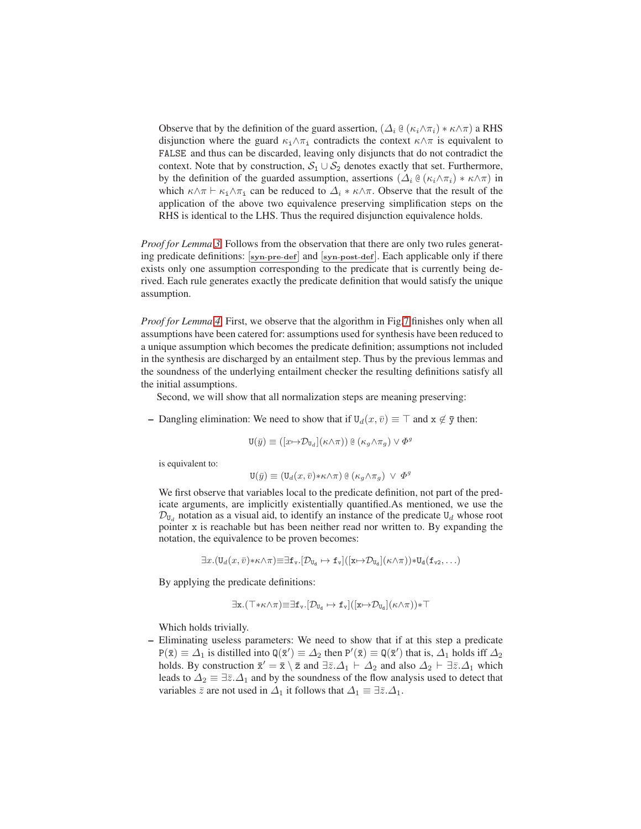Observe that by the definition of the guard assertion,  $(\Delta_i \mathcal{A}(\kappa_i \wedge \pi_i) * \kappa \wedge \pi)$  a RHS disjunction where the guard  $\kappa_i \wedge \pi_i$  contradicts the context  $\kappa \wedge \pi$  is equivalent to FALSE and thus can be discarded, leaving only disjuncts that do not contradict the context. Note that by construction,  $S_1 \cup S_2$  denotes exactly that set. Furthermore, by the definition of the guarded assumption, assertions  $(\Delta_i \otimes (\kappa_i \wedge \pi_i) * \kappa \wedge \pi)$  in which  $\kappa \wedge \pi \vdash \kappa_i \wedge \pi_i$  can be reduced to  $\Delta_i * \kappa \wedge \pi$ . Observe that the result of the application of the above two equivalence preserving simplification steps on the RHS is identical to the LHS. Thus the required disjunction equivalence holds.

*Proof for Lemma [3](#page-13-3)* Follows from the observation that there are only two rules generating predicate definitions: [syn-pre-def] and [syn-post-def]. Each applicable only if there exists only one assumption corresponding to the predicate that is currently being derived. Each rule generates exactly the predicate definition that would satisfy the unique assumption.

<span id="page-29-0"></span>*Proof for Lemma [4](#page-13-4)* First, we observe that the algorithm in Fig[.7](#page-10-1) finishes only when all assumptions have been catered for: assumptions used for synthesis have been reduced to a unique assumption which becomes the predicate definition; assumptions not included in the synthesis are discharged by an entailment step. Thus by the previous lemmas and the soundness of the underlying entailment checker the resulting definitions satisfy all the initial assumptions.

Second, we will show that all normalization steps are meaning preserving:

– Dangling elimination: We need to show that if  $U_d(x, \bar{v}) \equiv \top$  and  $x \notin \bar{y}$  then:

$$
\mathbf{U}(\bar{y}) \equiv \left( [x \mapsto \mathcal{D}_{\mathbf{U}_d}](\kappa \wedge \pi) \right) \mathbf{0} \left( \kappa_g \wedge \pi_g \right) \vee \Phi^g
$$

is equivalent to:

$$
\mathbf{U}(\bar{y}) \equiv (\mathbf{U}_d(x, \bar{v}) \ast \kappa \wedge \pi) \circ (\kappa_g \wedge \pi_g) \vee \Phi^g
$$

We first observe that variables local to the predicate definition, not part of the predicate arguments, are implicitly existentially quantified.As mentioned, we use the  $\mathcal{D}_{\mathbf{U}_d}$  notation as a visual aid, to identify an instance of the predicate  $\mathbf{U}_d$  whose root pointer x is reachable but has been neither read nor written to. By expanding the notation, the equivalence to be proven becomes:

$$
\exists x. (\mathtt{U}_d(x,\bar{v}) * \kappa \wedge \pi) \equiv \exists \mathtt{f}_v. [\mathcal{D}_{\mathtt{U}_d} \mapsto \mathtt{f}_v] ([x \mapsto \mathcal{D}_{\mathtt{U}_d}](\kappa \wedge \pi)) * \mathtt{U}_d(\mathtt{f}_{v2}, \ldots)
$$

By applying the predicate definitions:

$$
\exists x.(\top * \kappa \wedge \pi) \equiv \exists \mathtt{f}_v.[\mathcal{D}_{U_d} \mapsto \mathtt{f}_v] ([x \mapsto \mathcal{D}_{U_d}](\kappa \wedge \pi)) * \top
$$

Which holds trivially.

– Eliminating useless parameters: We need to show that if at this step a predicate  $P(\bar{x}) \equiv \Delta_1$  is distilled into  $Q(\bar{x}') \equiv \Delta_2$  then  $P'(\bar{x}) \equiv Q(\bar{x}')$  that is,  $\Delta_1$  holds iff  $\Delta_2$ holds. By construction  $\bar{x}' = \bar{x} \setminus \bar{z}$  and  $\exists \bar{z}.\Delta_1 \vdash \Delta_2$  and also  $\Delta_2 \vdash \exists \bar{z}.\Delta_1$  which leads to  $\Delta_2 \equiv \exists \bar{z}.\Delta_1$  and by the soundness of the flow analysis used to detect that variables  $\bar{z}$  are not used in  $\Delta_1$  it follows that  $\Delta_1 \equiv \exists \bar{z}.\Delta_1$ .